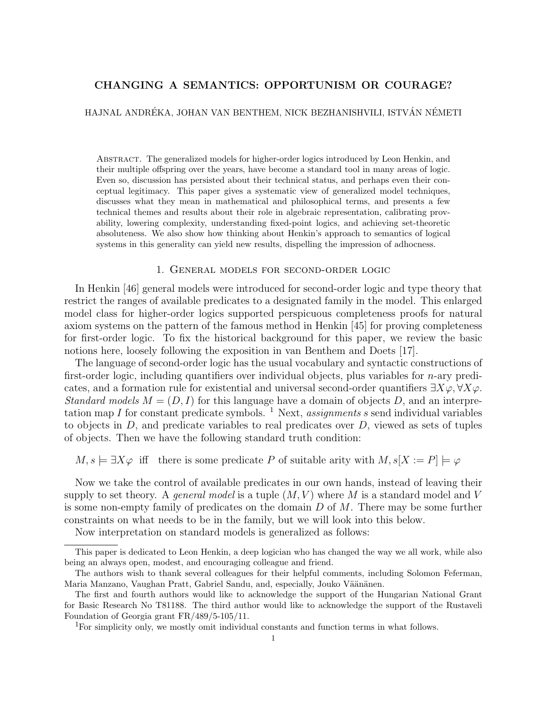# CHANGING A SEMANTICS: OPPORTUNISM OR COURAGE?

HAJNAL ANDRÉKA, JOHAN VAN BENTHEM, NICK BEZHANISHVILI, ISTVÁN NÉMETI

Abstract. The generalized models for higher-order logics introduced by Leon Henkin, and their multiple offspring over the years, have become a standard tool in many areas of logic. Even so, discussion has persisted about their technical status, and perhaps even their conceptual legitimacy. This paper gives a systematic view of generalized model techniques, discusses what they mean in mathematical and philosophical terms, and presents a few technical themes and results about their role in algebraic representation, calibrating provability, lowering complexity, understanding fixed-point logics, and achieving set-theoretic absoluteness. We also show how thinking about Henkin's approach to semantics of logical systems in this generality can yield new results, dispelling the impression of adhocness.

#### 1. General models for second-order logic

In Henkin [46] general models were introduced for second-order logic and type theory that restrict the ranges of available predicates to a designated family in the model. This enlarged model class for higher-order logics supported perspicuous completeness proofs for natural axiom systems on the pattern of the famous method in Henkin [45] for proving completeness for first-order logic. To fix the historical background for this paper, we review the basic notions here, loosely following the exposition in van Benthem and Doets [17].

The language of second-order logic has the usual vocabulary and syntactic constructions of first-order logic, including quantifiers over individual objects, plus variables for  $n$ -ary predicates, and a formation rule for existential and universal second-order quantifiers  $\exists X\varphi, \forall X\varphi$ . Standard models  $M = (D, I)$  for this language have a domain of objects D, and an interpretation map I for constant predicate symbols. <sup>1</sup> Next, *assignments s* send individual variables to objects in  $D$ , and predicate variables to real predicates over  $D$ , viewed as sets of tuples of objects. Then we have the following standard truth condition:

 $M, s \models \exists X \varphi$  iff there is some predicate P of suitable arity with  $M, s[X := P] \models \varphi$ 

Now we take the control of available predicates in our own hands, instead of leaving their supply to set theory. A *general model* is a tuple  $(M, V)$  where M is a standard model and V is some non-empty family of predicates on the domain  $D$  of  $M$ . There may be some further constraints on what needs to be in the family, but we will look into this below.

Now interpretation on standard models is generalized as follows:

This paper is dedicated to Leon Henkin, a deep logician who has changed the way we all work, while also being an always open, modest, and encouraging colleague and friend.

The authors wish to thank several colleagues for their helpful comments, including Solomon Feferman, Maria Manzano, Vaughan Pratt, Gabriel Sandu, and, especially, Jouko Väänänen.

The first and fourth authors would like to acknowledge the support of the Hungarian National Grant for Basic Research No T81188. The third author would like to acknowledge the support of the Rustaveli Foundation of Georgia grant FR/489/5-105/11.

<sup>1</sup>For simplicity only, we mostly omit individual constants and function terms in what follows.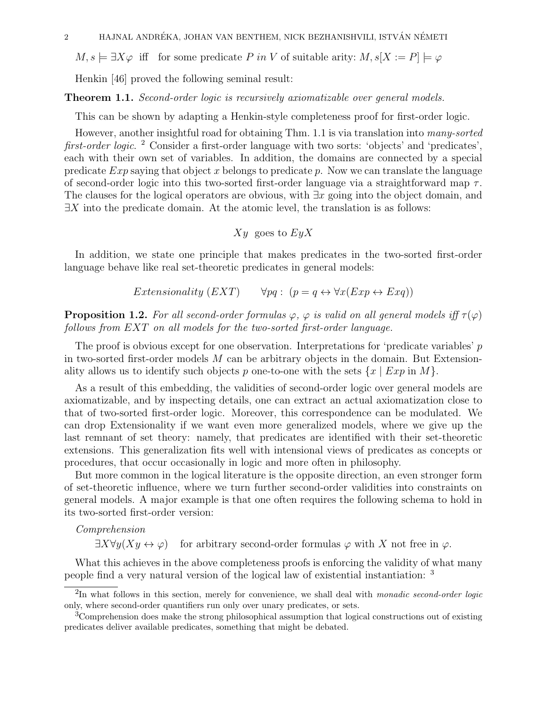$M, s \models \exists X \varphi$  iff for some predicate P in V of suitable arity:  $M, s[X := P] \models \varphi$ 

Henkin [46] proved the following seminal result:

Theorem 1.1. Second-order logic is recursively axiomatizable over general models.

This can be shown by adapting a Henkin-style completeness proof for first-order logic.

However, another insightful road for obtaining Thm. 1.1 is via translation into many-sorted first-order logic.<sup>2</sup> Consider a first-order language with two sorts: 'objects' and 'predicates', each with their own set of variables. In addition, the domains are connected by a special predicate  $Exp$  saying that object x belongs to predicate p. Now we can translate the language of second-order logic into this two-sorted first-order language via a straightforward map  $\tau$ . The clauses for the logical operators are obvious, with ∃x going into the object domain, and  $\exists X$  into the predicate domain. At the atomic level, the translation is as follows:

$$
Xy
$$
 goes to  $EyX$ 

In addition, we state one principle that makes predicates in the two-sorted first-order language behave like real set-theoretic predicates in general models:

Extensionality  $(EXT) \quad \forall pq : (p = q \leftrightarrow \forall x (Exp \leftrightarrow Exq))$ 

**Proposition 1.2.** For all second-order formulas  $\varphi$ ,  $\varphi$  is valid on all general models iff  $\tau(\varphi)$ follows from EXT on all models for the two-sorted first-order language.

The proof is obvious except for one observation. Interpretations for 'predicate variables' p in two-sorted first-order models  $M$  can be arbitrary objects in the domain. But Extensionality allows us to identify such objects p one-to-one with the sets  $\{x \mid Exp$  in M.

As a result of this embedding, the validities of second-order logic over general models are axiomatizable, and by inspecting details, one can extract an actual axiomatization close to that of two-sorted first-order logic. Moreover, this correspondence can be modulated. We can drop Extensionality if we want even more generalized models, where we give up the last remnant of set theory: namely, that predicates are identified with their set-theoretic extensions. This generalization fits well with intensional views of predicates as concepts or procedures, that occur occasionally in logic and more often in philosophy.

But more common in the logical literature is the opposite direction, an even stronger form of set-theoretic influence, where we turn further second-order validities into constraints on general models. A major example is that one often requires the following schema to hold in its two-sorted first-order version:

# Comprehension

 $\exists X \forall y (Xy \leftrightarrow \varphi)$  for arbitrary second-order formulas  $\varphi$  with X not free in  $\varphi$ .

What this achieves in the above completeness proofs is enforcing the validity of what many people find a very natural version of the logical law of existential instantiation: <sup>3</sup>

<sup>&</sup>lt;sup>2</sup>In what follows in this section, merely for convenience, we shall deal with monadic second-order logic only, where second-order quantifiers run only over unary predicates, or sets.

<sup>&</sup>lt;sup>3</sup>Comprehension does make the strong philosophical assumption that logical constructions out of existing predicates deliver available predicates, something that might be debated.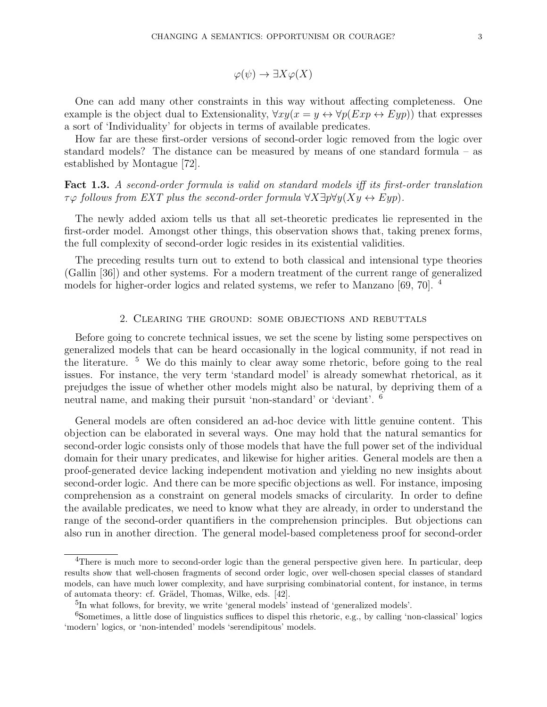$$
\varphi(\psi) \to \exists X \varphi(X)
$$

One can add many other constraints in this way without affecting completeness. One example is the object dual to Extensionality,  $\forall xy(x=y \leftrightarrow \forall p(Exp \leftrightarrow Eyp))$  that expresses a sort of 'Individuality' for objects in terms of available predicates.

How far are these first-order versions of second-order logic removed from the logic over standard models? The distance can be measured by means of one standard formula – as established by Montague [72].

Fact 1.3. A second-order formula is valid on standard models iff its first-order translation  $\tau\varphi$  follows from EXT plus the second-order formula  $\forall X\exists p\forall y(Xy \leftrightarrow Eyp)$ .

The newly added axiom tells us that all set-theoretic predicates lie represented in the first-order model. Amongst other things, this observation shows that, taking prenex forms, the full complexity of second-order logic resides in its existential validities.

The preceding results turn out to extend to both classical and intensional type theories (Gallin [36]) and other systems. For a modern treatment of the current range of generalized models for higher-order logics and related systems, we refer to Manzano [69, 70]. <sup>4</sup>

### 2. Clearing the ground: some objections and rebuttals

Before going to concrete technical issues, we set the scene by listing some perspectives on generalized models that can be heard occasionally in the logical community, if not read in the literature. <sup>5</sup> We do this mainly to clear away some rhetoric, before going to the real issues. For instance, the very term 'standard model' is already somewhat rhetorical, as it prejudges the issue of whether other models might also be natural, by depriving them of a neutral name, and making their pursuit 'non-standard' or 'deviant'. <sup>6</sup>

General models are often considered an ad-hoc device with little genuine content. This objection can be elaborated in several ways. One may hold that the natural semantics for second-order logic consists only of those models that have the full power set of the individual domain for their unary predicates, and likewise for higher arities. General models are then a proof-generated device lacking independent motivation and yielding no new insights about second-order logic. And there can be more specific objections as well. For instance, imposing comprehension as a constraint on general models smacks of circularity. In order to define the available predicates, we need to know what they are already, in order to understand the range of the second-order quantifiers in the comprehension principles. But objections can also run in another direction. The general model-based completeness proof for second-order

<sup>&</sup>lt;sup>4</sup>There is much more to second-order logic than the general perspective given here. In particular, deep results show that well-chosen fragments of second order logic, over well-chosen special classes of standard models, can have much lower complexity, and have surprising combinatorial content, for instance, in terms of automata theory: cf. Grädel, Thomas, Wilke, eds. [42].

<sup>&</sup>lt;sup>5</sup>In what follows, for brevity, we write 'general models' instead of 'generalized models'.

 ${}^{6}$ Sometimes, a little dose of linguistics suffices to dispel this rhetoric, e.g., by calling 'non-classical' logics 'modern' logics, or 'non-intended' models 'serendipitous' models.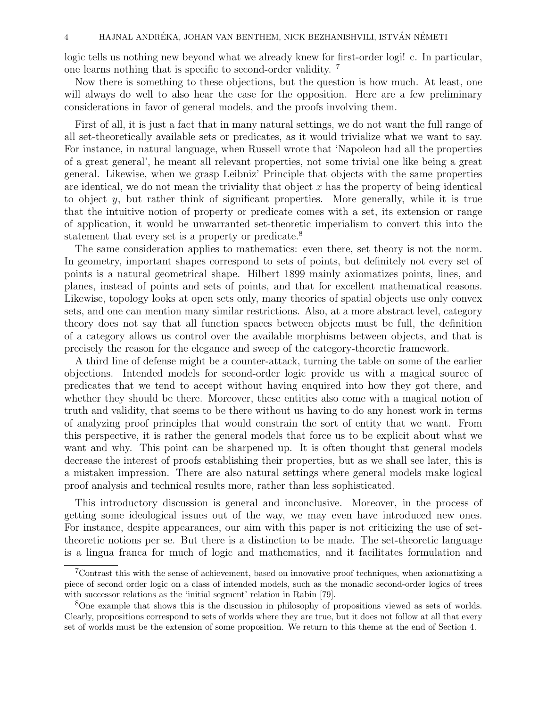logic tells us nothing new beyond what we already knew for first-order logi! c. In particular, one learns nothing that is specific to second-order validity. <sup>7</sup>

Now there is something to these objections, but the question is how much. At least, one will always do well to also hear the case for the opposition. Here are a few preliminary considerations in favor of general models, and the proofs involving them.

First of all, it is just a fact that in many natural settings, we do not want the full range of all set-theoretically available sets or predicates, as it would trivialize what we want to say. For instance, in natural language, when Russell wrote that 'Napoleon had all the properties of a great general', he meant all relevant properties, not some trivial one like being a great general. Likewise, when we grasp Leibniz' Principle that objects with the same properties are identical, we do not mean the triviality that object  $x$  has the property of being identical to object  $y$ , but rather think of significant properties. More generally, while it is true that the intuitive notion of property or predicate comes with a set, its extension or range of application, it would be unwarranted set-theoretic imperialism to convert this into the statement that every set is a property or predicate.<sup>8</sup>

The same consideration applies to mathematics: even there, set theory is not the norm. In geometry, important shapes correspond to sets of points, but definitely not every set of points is a natural geometrical shape. Hilbert 1899 mainly axiomatizes points, lines, and planes, instead of points and sets of points, and that for excellent mathematical reasons. Likewise, topology looks at open sets only, many theories of spatial objects use only convex sets, and one can mention many similar restrictions. Also, at a more abstract level, category theory does not say that all function spaces between objects must be full, the definition of a category allows us control over the available morphisms between objects, and that is precisely the reason for the elegance and sweep of the category-theoretic framework.

A third line of defense might be a counter-attack, turning the table on some of the earlier objections. Intended models for second-order logic provide us with a magical source of predicates that we tend to accept without having enquired into how they got there, and whether they should be there. Moreover, these entities also come with a magical notion of truth and validity, that seems to be there without us having to do any honest work in terms of analyzing proof principles that would constrain the sort of entity that we want. From this perspective, it is rather the general models that force us to be explicit about what we want and why. This point can be sharpened up. It is often thought that general models decrease the interest of proofs establishing their properties, but as we shall see later, this is a mistaken impression. There are also natural settings where general models make logical proof analysis and technical results more, rather than less sophisticated.

This introductory discussion is general and inconclusive. Moreover, in the process of getting some ideological issues out of the way, we may even have introduced new ones. For instance, despite appearances, our aim with this paper is not criticizing the use of settheoretic notions per se. But there is a distinction to be made. The set-theoretic language is a lingua franca for much of logic and mathematics, and it facilitates formulation and

<sup>7</sup>Contrast this with the sense of achievement, based on innovative proof techniques, when axiomatizing a piece of second order logic on a class of intended models, such as the monadic second-order logics of trees with successor relations as the 'initial segment' relation in Rabin [79].

<sup>8</sup>One example that shows this is the discussion in philosophy of propositions viewed as sets of worlds. Clearly, propositions correspond to sets of worlds where they are true, but it does not follow at all that every set of worlds must be the extension of some proposition. We return to this theme at the end of Section 4.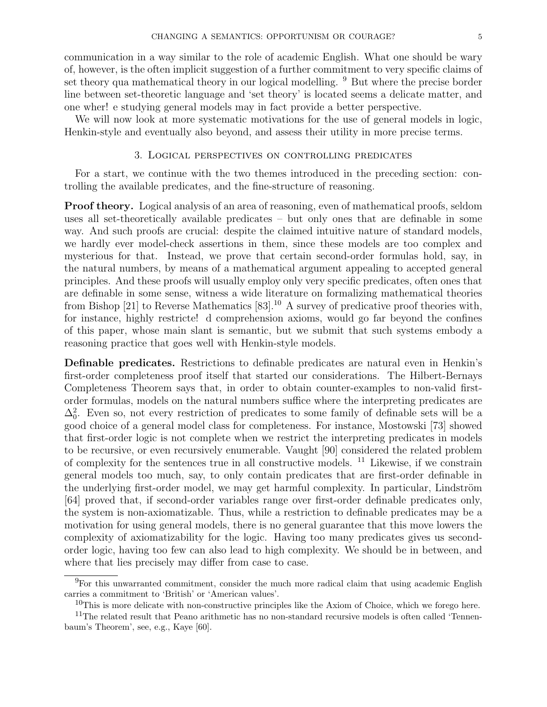communication in a way similar to the role of academic English. What one should be wary of, however, is the often implicit suggestion of a further commitment to very specific claims of set theory qua mathematical theory in our logical modelling. <sup>9</sup> But where the precise border line between set-theoretic language and 'set theory' is located seems a delicate matter, and one wher! e studying general models may in fact provide a better perspective.

We will now look at more systematic motivations for the use of general models in logic, Henkin-style and eventually also beyond, and assess their utility in more precise terms.

#### 3. Logical perspectives on controlling predicates

For a start, we continue with the two themes introduced in the preceding section: controlling the available predicates, and the fine-structure of reasoning.

Proof theory. Logical analysis of an area of reasoning, even of mathematical proofs, seldom uses all set-theoretically available predicates – but only ones that are definable in some way. And such proofs are crucial: despite the claimed intuitive nature of standard models, we hardly ever model-check assertions in them, since these models are too complex and mysterious for that. Instead, we prove that certain second-order formulas hold, say, in the natural numbers, by means of a mathematical argument appealing to accepted general principles. And these proofs will usually employ only very specific predicates, often ones that are definable in some sense, witness a wide literature on formalizing mathematical theories from Bishop [21] to Reverse Mathematics  $[83]$ .<sup>10</sup> A survey of predicative proof theories with, for instance, highly restricte! d comprehension axioms, would go far beyond the confines of this paper, whose main slant is semantic, but we submit that such systems embody a reasoning practice that goes well with Henkin-style models.

Definable predicates. Restrictions to definable predicates are natural even in Henkin's first-order completeness proof itself that started our considerations. The Hilbert-Bernays Completeness Theorem says that, in order to obtain counter-examples to non-valid firstorder formulas, models on the natural numbers suffice where the interpreting predicates are  $\Delta_0^2$ . Even so, not every restriction of predicates to some family of definable sets will be a good choice of a general model class for completeness. For instance, Mostowski [73] showed that first-order logic is not complete when we restrict the interpreting predicates in models to be recursive, or even recursively enumerable. Vaught [90] considered the related problem of complexity for the sentences true in all constructive models. <sup>11</sup> Likewise, if we constrain general models too much, say, to only contain predicates that are first-order definable in the underlying first-order model, we may get harmful complexity. In particular, Lindström [64] proved that, if second-order variables range over first-order definable predicates only, the system is non-axiomatizable. Thus, while a restriction to definable predicates may be a motivation for using general models, there is no general guarantee that this move lowers the complexity of axiomatizability for the logic. Having too many predicates gives us secondorder logic, having too few can also lead to high complexity. We should be in between, and where that lies precisely may differ from case to case.

<sup>9</sup>For this unwarranted commitment, consider the much more radical claim that using academic English carries a commitment to 'British' or 'American values'.

<sup>10</sup>This is more delicate with non-constructive principles like the Axiom of Choice, which we forego here.

 $11$ The related result that Peano arithmetic has no non-standard recursive models is often called 'Tennenbaum's Theorem', see, e.g., Kaye [60].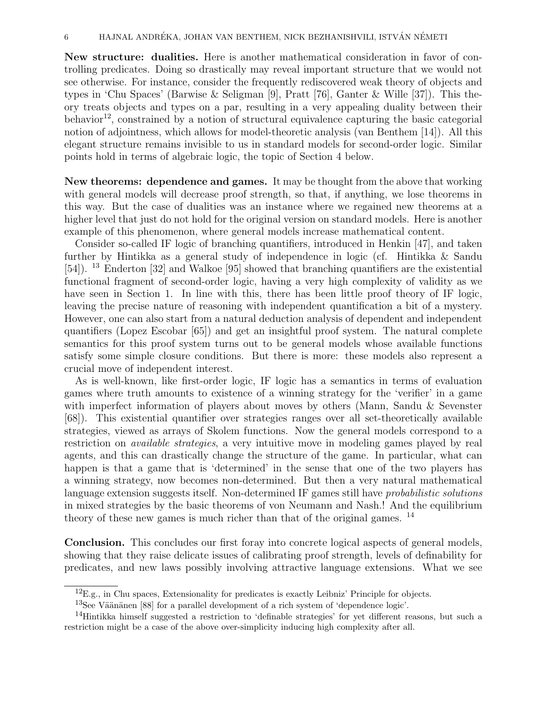New structure: dualities. Here is another mathematical consideration in favor of controlling predicates. Doing so drastically may reveal important structure that we would not see otherwise. For instance, consider the frequently rediscovered weak theory of objects and types in 'Chu Spaces' (Barwise & Seligman [9], Pratt [76], Ganter & Wille [37]). This theory treats objects and types on a par, resulting in a very appealing duality between their behavior<sup>12</sup>, constrained by a notion of structural equivalence capturing the basic categorial notion of adjointness, which allows for model-theoretic analysis (van Benthem [14]). All this elegant structure remains invisible to us in standard models for second-order logic. Similar points hold in terms of algebraic logic, the topic of Section 4 below.

New theorems: dependence and games. It may be thought from the above that working with general models will decrease proof strength, so that, if anything, we lose theorems in this way. But the case of dualities was an instance where we regained new theorems at a higher level that just do not hold for the original version on standard models. Here is another example of this phenomenon, where general models increase mathematical content.

Consider so-called IF logic of branching quantifiers, introduced in Henkin [47], and taken further by Hintikka as a general study of independence in logic (cf. Hintikka & Sandu [54]). <sup>13</sup> Enderton [32] and Walkoe [95] showed that branching quantifiers are the existential functional fragment of second-order logic, having a very high complexity of validity as we have seen in Section 1. In line with this, there has been little proof theory of IF logic, leaving the precise nature of reasoning with independent quantification a bit of a mystery. However, one can also start from a natural deduction analysis of dependent and independent quantifiers (Lopez Escobar [65]) and get an insightful proof system. The natural complete semantics for this proof system turns out to be general models whose available functions satisfy some simple closure conditions. But there is more: these models also represent a crucial move of independent interest.

As is well-known, like first-order logic, IF logic has a semantics in terms of evaluation games where truth amounts to existence of a winning strategy for the 'verifier' in a game with imperfect information of players about moves by others (Mann, Sandu & Sevenster [68]). This existential quantifier over strategies ranges over all set-theoretically available strategies, viewed as arrays of Skolem functions. Now the general models correspond to a restriction on available strategies, a very intuitive move in modeling games played by real agents, and this can drastically change the structure of the game. In particular, what can happen is that a game that is 'determined' in the sense that one of the two players has a winning strategy, now becomes non-determined. But then a very natural mathematical language extension suggests itself. Non-determined IF games still have *probabilistic solutions* in mixed strategies by the basic theorems of von Neumann and Nash.! And the equilibrium theory of these new games is much richer than that of the original games. <sup>14</sup>

Conclusion. This concludes our first foray into concrete logical aspects of general models, showing that they raise delicate issues of calibrating proof strength, levels of definability for predicates, and new laws possibly involving attractive language extensions. What we see

<sup>&</sup>lt;sup>12</sup>E.g., in Chu spaces, Extensionality for predicates is exactly Leibniz' Principle for objects.

 $13$ See Väänänen [88] for a parallel development of a rich system of 'dependence logic'.

<sup>&</sup>lt;sup>14</sup>Hintikka himself suggested a restriction to 'definable strategies' for yet different reasons, but such a restriction might be a case of the above over-simplicity inducing high complexity after all.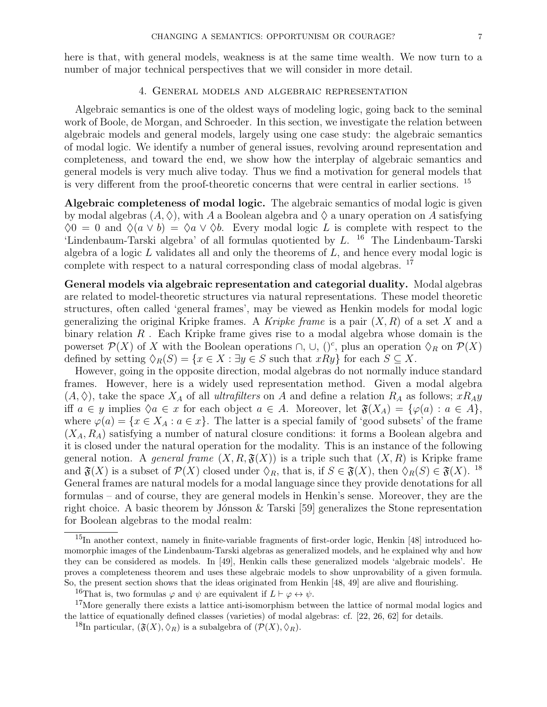here is that, with general models, weakness is at the same time wealth. We now turn to a number of major technical perspectives that we will consider in more detail.

# 4. General models and algebraic representation

Algebraic semantics is one of the oldest ways of modeling logic, going back to the seminal work of Boole, de Morgan, and Schroeder. In this section, we investigate the relation between algebraic models and general models, largely using one case study: the algebraic semantics of modal logic. We identify a number of general issues, revolving around representation and completeness, and toward the end, we show how the interplay of algebraic semantics and general models is very much alive today. Thus we find a motivation for general models that is very different from the proof-theoretic concerns that were central in earlier sections. <sup>15</sup>

Algebraic completeness of modal logic. The algebraic semantics of modal logic is given by modal algebras  $(A, \Diamond)$ , with A a Boolean algebra and  $\Diamond$  a unary operation on A satisfying  $\Diamond 0 = 0$  and  $\Diamond (a \lor b) = \Diamond a \lor \Diamond b$ . Every modal logic L is complete with respect to the 'Lindenbaum-Tarski algebra' of all formulas quotiented by  $L$ . <sup>16</sup> The Lindenbaum-Tarski algebra of a logic  $L$  validates all and only the theorems of  $L$ , and hence every modal logic is complete with respect to a natural corresponding class of modal algebras. <sup>17</sup>

General models via algebraic representation and categorial duality. Modal algebras are related to model-theoretic structures via natural representations. These model theoretic structures, often called 'general frames', may be viewed as Henkin models for modal logic generalizing the original Kripke frames. A Kripke frame is a pair  $(X, R)$  of a set X and a binary relation  $R$ . Each Kripke frame gives rise to a modal algebra whose domain is the powerset  $\mathcal{P}(X)$  of X with the Boolean operations  $\cap$ ,  $\cup$ ,  $()^c$ , plus an operation  $\Diamond_R$  on  $\mathcal{P}(X)$ defined by setting  $\Diamond_R(S) = \{x \in X : \exists y \in S \text{ such that } xRy\}$  for each  $S \subseteq X$ .

However, going in the opposite direction, modal algebras do not normally induce standard frames. However, here is a widely used representation method. Given a modal algebra  $(A, \Diamond)$ , take the space  $X_A$  of all *ultrafilters* on A and define a relation  $R_A$  as follows;  $xR_Ay$ iff  $a \in y$  implies  $\Diamond a \in x$  for each object  $a \in A$ . Moreover, let  $\mathfrak{F}(X_A) = {\varphi}(a) : a \in A$ , where  $\varphi(a) = \{x \in X_A : a \in x\}$ . The latter is a special family of 'good subsets' of the frame  $(X_A, R_A)$  satisfying a number of natural closure conditions: it forms a Boolean algebra and it is closed under the natural operation for the modality. This is an instance of the following general notion. A general frame  $(X, R, \mathfrak{F}(X))$  is a triple such that  $(X, R)$  is Kripke frame and  $\mathfrak{F}(X)$  is a subset of  $\mathcal{P}(X)$  closed under  $\Diamond_R$ , that is, if  $S \in \mathfrak{F}(X)$ , then  $\Diamond_R(S) \in \mathfrak{F}(X)$ . <sup>18</sup> General frames are natural models for a modal language since they provide denotations for all formulas – and of course, they are general models in Henkin's sense. Moreover, they are the right choice. A basic theorem by Jónsson  $\&$  Tarski [59] generalizes the Stone representation for Boolean algebras to the modal realm:

<sup>15</sup>In another context, namely in finite-variable fragments of first-order logic, Henkin [48] introduced homomorphic images of the Lindenbaum-Tarski algebras as generalized models, and he explained why and how they can be considered as models. In [49], Henkin calls these generalized models 'algebraic models'. He proves a completeness theorem and uses these algebraic models to show unprovability of a given formula. So, the present section shows that the ideas originated from Henkin [48, 49] are alive and flourishing.

<sup>&</sup>lt;sup>16</sup>That is, two formulas  $\varphi$  and  $\psi$  are equivalent if  $L \vdash \varphi \leftrightarrow \psi$ .

<sup>&</sup>lt;sup>17</sup>More generally there exists a lattice anti-isomorphism between the lattice of normal modal logics and the lattice of equationally defined classes (varieties) of modal algebras: cf. [22, 26, 62] for details.

<sup>&</sup>lt;sup>18</sup>In particular,  $(\mathfrak{F}(X), \Diamond_R)$  is a subalgebra of  $(\mathcal{P}(X), \Diamond_R)$ .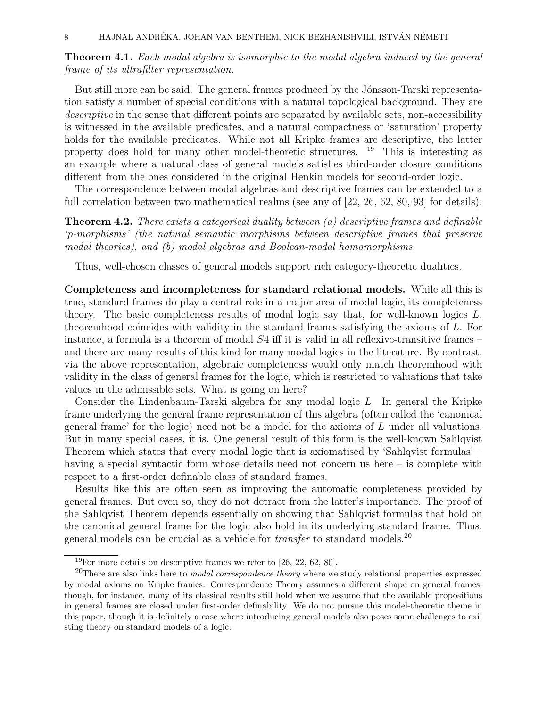**Theorem 4.1.** Each modal algebra is isomorphic to the modal algebra induced by the general frame of its ultrafilter representation.

But still more can be said. The general frames produced by the Jónsson-Tarski representation satisfy a number of special conditions with a natural topological background. They are descriptive in the sense that different points are separated by available sets, non-accessibility is witnessed in the available predicates, and a natural compactness or 'saturation' property holds for the available predicates. While not all Kripke frames are descriptive, the latter property does hold for many other model-theoretic structures. <sup>19</sup> This is interesting as an example where a natural class of general models satisfies third-order closure conditions different from the ones considered in the original Henkin models for second-order logic.

The correspondence between modal algebras and descriptive frames can be extended to a full correlation between two mathematical realms (see any of [22, 26, 62, 80, 93] for details):

**Theorem 4.2.** There exists a categorical duality between  $(a)$  descriptive frames and definable 'p-morphisms' (the natural semantic morphisms between descriptive frames that preserve modal theories), and (b) modal algebras and Boolean-modal homomorphisms.

Thus, well-chosen classes of general models support rich category-theoretic dualities.

Completeness and incompleteness for standard relational models. While all this is true, standard frames do play a central role in a major area of modal logic, its completeness theory. The basic completeness results of modal logic say that, for well-known logics  $L$ , theoremhood coincides with validity in the standard frames satisfying the axioms of L. For instance, a formula is a theorem of modal  $S4$  iff it is valid in all reflexive-transitive frames – and there are many results of this kind for many modal logics in the literature. By contrast, via the above representation, algebraic completeness would only match theoremhood with validity in the class of general frames for the logic, which is restricted to valuations that take values in the admissible sets. What is going on here?

Consider the Lindenbaum-Tarski algebra for any modal logic L. In general the Kripke frame underlying the general frame representation of this algebra (often called the 'canonical general frame' for the logic) need not be a model for the axioms of L under all valuations. But in many special cases, it is. One general result of this form is the well-known Sahlqvist Theorem which states that every modal logic that is axiomatised by 'Sahlqvist formulas' – having a special syntactic form whose details need not concern us here – is complete with respect to a first-order definable class of standard frames.

Results like this are often seen as improving the automatic completeness provided by general frames. But even so, they do not detract from the latter's importance. The proof of the Sahlqvist Theorem depends essentially on showing that Sahlqvist formulas that hold on the canonical general frame for the logic also hold in its underlying standard frame. Thus, general models can be crucial as a vehicle for *transfer* to standard models.<sup>20</sup>

<sup>&</sup>lt;sup>19</sup>For more details on descriptive frames we refer to  $[26, 22, 62, 80]$ .

 $^{20}$ There are also links here to *modal correspondence theory* where we study relational properties expressed by modal axioms on Kripke frames. Correspondence Theory assumes a different shape on general frames, though, for instance, many of its classical results still hold when we assume that the available propositions in general frames are closed under first-order definability. We do not pursue this model-theoretic theme in this paper, though it is definitely a case where introducing general models also poses some challenges to exi! sting theory on standard models of a logic.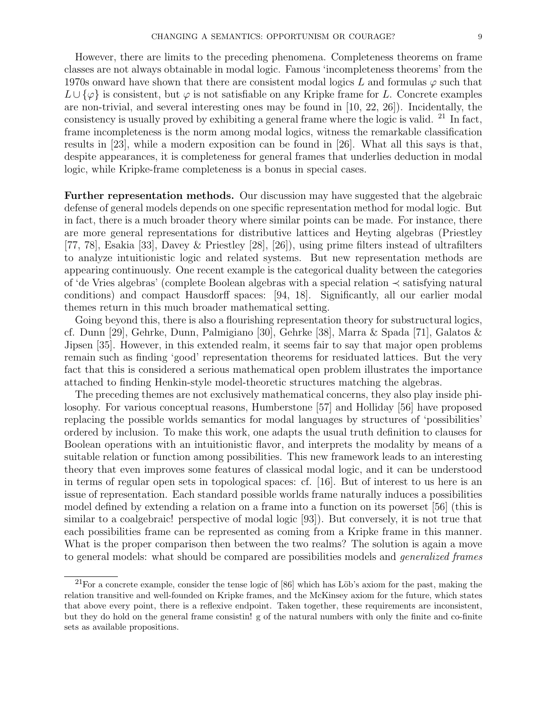However, there are limits to the preceding phenomena. Completeness theorems on frame classes are not always obtainable in modal logic. Famous 'incompleteness theorems' from the 1970s onward have shown that there are consistent modal logics L and formulas  $\varphi$  such that  $L \cup {\varphi}$  is consistent, but  $\varphi$  is not satisfiable on any Kripke frame for L. Concrete examples are non-trivial, and several interesting ones may be found in [10, 22, 26]). Incidentally, the consistency is usually proved by exhibiting a general frame where the logic is valid. <sup>21</sup> In fact, frame incompleteness is the norm among modal logics, witness the remarkable classification results in [23], while a modern exposition can be found in [26]. What all this says is that, despite appearances, it is completeness for general frames that underlies deduction in modal logic, while Kripke-frame completeness is a bonus in special cases.

Further representation methods. Our discussion may have suggested that the algebraic defense of general models depends on one specific representation method for modal logic. But in fact, there is a much broader theory where similar points can be made. For instance, there are more general representations for distributive lattices and Heyting algebras (Priestley [77, 78], Esakia [33], Davey & Priestley [28], [26]), using prime filters instead of ultrafilters to analyze intuitionistic logic and related systems. But new representation methods are appearing continuously. One recent example is the categorical duality between the categories of 'de Vries algebras' (complete Boolean algebras with a special relation ≺ satisfying natural conditions) and compact Hausdorff spaces: [94, 18]. Significantly, all our earlier modal themes return in this much broader mathematical setting.

Going beyond this, there is also a flourishing representation theory for substructural logics, cf. Dunn [29], Gehrke, Dunn, Palmigiano [30], Gehrke [38], Marra & Spada [71], Galatos & Jipsen [35]. However, in this extended realm, it seems fair to say that major open problems remain such as finding 'good' representation theorems for residuated lattices. But the very fact that this is considered a serious mathematical open problem illustrates the importance attached to finding Henkin-style model-theoretic structures matching the algebras.

The preceding themes are not exclusively mathematical concerns, they also play inside philosophy. For various conceptual reasons, Humberstone [57] and Holliday [56] have proposed replacing the possible worlds semantics for modal languages by structures of 'possibilities' ordered by inclusion. To make this work, one adapts the usual truth definition to clauses for Boolean operations with an intuitionistic flavor, and interprets the modality by means of a suitable relation or function among possibilities. This new framework leads to an interesting theory that even improves some features of classical modal logic, and it can be understood in terms of regular open sets in topological spaces: cf. [16]. But of interest to us here is an issue of representation. Each standard possible worlds frame naturally induces a possibilities model defined by extending a relation on a frame into a function on its powerset [56] (this is similar to a coalgebraic! perspective of modal logic [93]). But conversely, it is not true that each possibilities frame can be represented as coming from a Kripke frame in this manner. What is the proper comparison then between the two realms? The solution is again a move to general models: what should be compared are possibilities models and generalized frames

 $^{21}$ For a concrete example, consider the tense logic of [86] which has Löb's axiom for the past, making the relation transitive and well-founded on Kripke frames, and the McKinsey axiom for the future, which states that above every point, there is a reflexive endpoint. Taken together, these requirements are inconsistent, but they do hold on the general frame consistin! g of the natural numbers with only the finite and co-finite sets as available propositions.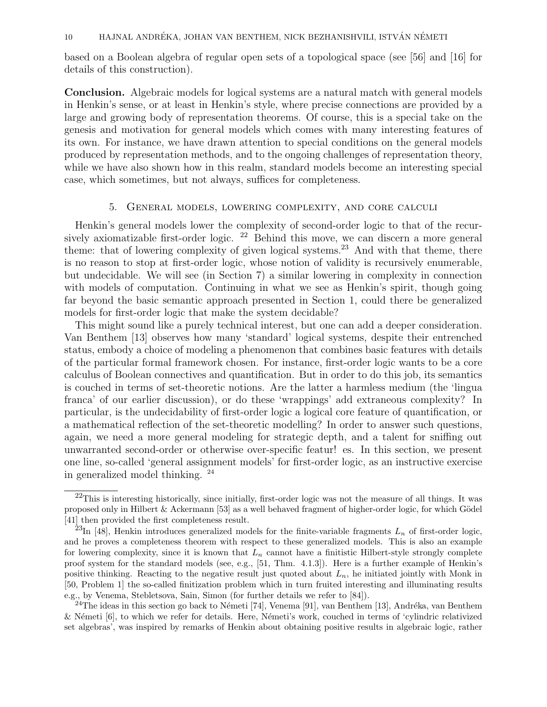based on a Boolean algebra of regular open sets of a topological space (see [56] and [16] for details of this construction).

Conclusion. Algebraic models for logical systems are a natural match with general models in Henkin's sense, or at least in Henkin's style, where precise connections are provided by a large and growing body of representation theorems. Of course, this is a special take on the genesis and motivation for general models which comes with many interesting features of its own. For instance, we have drawn attention to special conditions on the general models produced by representation methods, and to the ongoing challenges of representation theory, while we have also shown how in this realm, standard models become an interesting special case, which sometimes, but not always, suffices for completeness.

#### 5. General models, lowering complexity, and core calculi

Henkin's general models lower the complexity of second-order logic to that of the recursively axiomatizable first-order logic. <sup>22</sup> Behind this move, we can discern a more general theme: that of lowering complexity of given logical systems.<sup>23</sup> And with that theme, there is no reason to stop at first-order logic, whose notion of validity is recursively enumerable, but undecidable. We will see (in Section 7) a similar lowering in complexity in connection with models of computation. Continuing in what we see as Henkin's spirit, though going far beyond the basic semantic approach presented in Section 1, could there be generalized models for first-order logic that make the system decidable?

This might sound like a purely technical interest, but one can add a deeper consideration. Van Benthem [13] observes how many 'standard' logical systems, despite their entrenched status, embody a choice of modeling a phenomenon that combines basic features with details of the particular formal framework chosen. For instance, first-order logic wants to be a core calculus of Boolean connectives and quantification. But in order to do this job, its semantics is couched in terms of set-theoretic notions. Are the latter a harmless medium (the 'lingua franca' of our earlier discussion), or do these 'wrappings' add extraneous complexity? In particular, is the undecidability of first-order logic a logical core feature of quantification, or a mathematical reflection of the set-theoretic modelling? In order to answer such questions, again, we need a more general modeling for strategic depth, and a talent for sniffing out unwarranted second-order or otherwise over-specific featur! es. In this section, we present one line, so-called 'general assignment models' for first-order logic, as an instructive exercise in generalized model thinking. <sup>24</sup>

<sup>24</sup>The ideas in this section go back to Németi [74], Venema [91], van Benthem [13], Andréka, van Benthem & N´emeti [6], to which we refer for details. Here, N´emeti's work, couched in terms of 'cylindric relativized set algebras', was inspired by remarks of Henkin about obtaining positive results in algebraic logic, rather

 $22$ This is interesting historically, since initially, first-order logic was not the measure of all things. It was proposed only in Hilbert & Ackermann [53] as a well behaved fragment of higher-order logic, for which Gödel [41] then provided the first completeness result.

<sup>&</sup>lt;sup>23</sup>In [48], Henkin introduces generalized models for the finite-variable fragments  $L_n$  of first-order logic, and he proves a completeness theorem with respect to these generalized models. This is also an example for lowering complexity, since it is known that  $L_n$  cannot have a finitistic Hilbert-style strongly complete proof system for the standard models (see, e.g., [51, Thm. 4.1.3]). Here is a further example of Henkin's positive thinking. Reacting to the negative result just quoted about  $L_n$ , he initiated jointly with Monk in [50, Problem 1] the so-called finitization problem which in turn fruited interesting and illuminating results e.g., by Venema, Stebletsova, Sain, Simon (for further details we refer to [84]).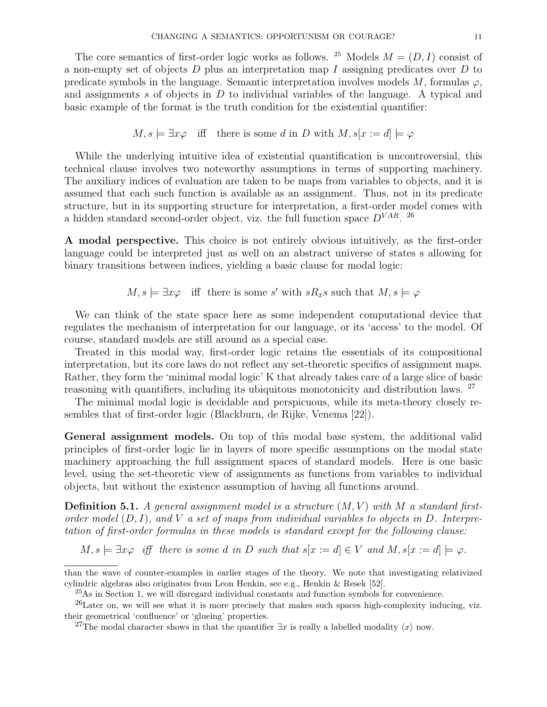The core semantics of first-order logic works as follows. <sup>25</sup> Models  $M = (D, I)$  consist of a non-empty set of objects  $D$  plus an interpretation map  $I$  assigning predicates over  $D$  to predicate symbols in the language. Semantic interpretation involves models  $M$ , formulas  $\varphi$ , and assignments s of objects in  $D$  to individual variables of the language. A typical and basic example of the format is the truth condition for the existential quantifier:

$$
M, s \models \exists x \varphi
$$
 iff there is some d in D with  $M, s[x := d] \models \varphi$ 

While the underlying intuitive idea of existential quantification is uncontroversial, this technical clause involves two noteworthy assumptions in terms of supporting machinery. The auxiliary indices of evaluation are taken to be maps from variables to objects, and it is assumed that each such function is available as an assignment. Thus, not in its predicate structure, but in its supporting structure for interpretation, a first-order model comes with a hidden standard second-order object, viz. the full function space  $D^{VAR}$ . <sup>26</sup>

A modal perspective. This choice is not entirely obvious intuitively, as the first-order language could be interpreted just as well on an abstract universe of states s allowing for binary transitions between indices, yielding a basic clause for modal logic:

$$
M, s \models \exists x \varphi
$$
 iff there is some s' with  $sR_x s$  such that  $M, s \models \varphi$ 

We can think of the state space here as some independent computational device that regulates the mechanism of interpretation for our language, or its 'access' to the model. Of course, standard models are still around as a special case.

Treated in this modal way, first-order logic retains the essentials of its compositional interpretation, but its core laws do not reflect any set-theoretic specifics of assignment maps. Rather, they form the 'minimal modal logic' K that already takes care of a large slice of basic reasoning with quantifiers, including its ubiquitous monotonicity and distribution laws. <sup>27</sup>

The minimal modal logic is decidable and perspicuous, while its meta-theory closely resembles that of first-order logic (Blackburn, de Rijke, Venema [22]).

General assignment models. On top of this modal base system, the additional valid principles of first-order logic lie in layers of more specific assumptions on the modal state machinery approaching the full assignment spaces of standard models. Here is one basic level, using the set-theoretic view of assignments as functions from variables to individual objects, but without the existence assumption of having all functions around.

**Definition 5.1.** A general assignment model is a structure  $(M, V)$  with M a standard firstorder model  $(D, I)$ , and V a set of maps from individual variables to objects in D. Interpretation of first-order formulas in these models is standard except for the following clause:

 $M, s \models \exists x \varphi \text{ iff there is some } d \text{ in } D \text{ such that } s[x := d] \in V \text{ and } M, s[x := d] \models \varphi.$ 

than the wave of counter-examples in earlier stages of the theory. We note that investigating relativized cylindric algebras also originates from Leon Henkin, see e.g., Henkin & Resek [52].

 $^{25}$ As in Section 1, we will disregard individual constants and function symbols for convenience.

 $^{26}$ Later on, we will see what it is more precisely that makes such spaces high-complexity inducing, viz. their geometrical 'confluence' or 'glueing' properties.

<sup>&</sup>lt;sup>27</sup>The modal character shows in that the quantifier  $\exists x$  is really a labelled modality  $\langle x \rangle$  now.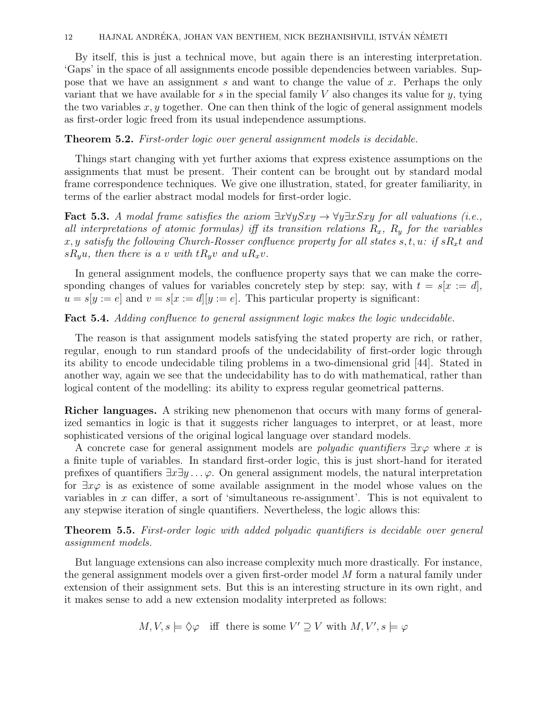By itself, this is just a technical move, but again there is an interesting interpretation. 'Gaps' in the space of all assignments encode possible dependencies between variables. Suppose that we have an assignment s and want to change the value of x. Perhaps the only variant that we have available for s in the special family  $V$  also changes its value for  $y$ , tying the two variables  $x, y$  together. One can then think of the logic of general assignment models as first-order logic freed from its usual independence assumptions.

### Theorem 5.2. First-order logic over general assignment models is decidable.

Things start changing with yet further axioms that express existence assumptions on the assignments that must be present. Their content can be brought out by standard modal frame correspondence techniques. We give one illustration, stated, for greater familiarity, in terms of the earlier abstract modal models for first-order logic.

**Fact 5.3.** A modal frame satisfies the axiom  $\exists x \forall y Sxy \rightarrow \forall y \exists x Sxy$  for all valuations (i.e., all interpretations of atomic formulas) iff its transition relations  $R_x$ ,  $R_y$  for the variables x, y satisfy the following Church-Rosser confluence property for all states s, t, u: if  $sR_xt$  and  $sR_{y}u$ , then there is a v with  $tR_{y}v$  and  $uR_{x}v$ .

In general assignment models, the confluence property says that we can make the corresponding changes of values for variables concretely step by step: say, with  $t = s[x := d]$ ,  $u = s[y := e]$  and  $v = s[x := d][y := e]$ . This particular property is significant:

# Fact 5.4. Adding confluence to general assignment logic makes the logic undecidable.

The reason is that assignment models satisfying the stated property are rich, or rather, regular, enough to run standard proofs of the undecidability of first-order logic through its ability to encode undecidable tiling problems in a two-dimensional grid [44]. Stated in another way, again we see that the undecidability has to do with mathematical, rather than logical content of the modelling: its ability to express regular geometrical patterns.

Richer languages. A striking new phenomenon that occurs with many forms of generalized semantics in logic is that it suggests richer languages to interpret, or at least, more sophisticated versions of the original logical language over standard models.

A concrete case for general assignment models are *polyadic quantifiers*  $\exists x \varphi$  where x is a finite tuple of variables. In standard first-order logic, this is just short-hand for iterated prefixes of quantifiers  $\exists x \exists y \dots \varphi$ . On general assignment models, the natural interpretation for  $\exists x \varphi$  is as existence of some available assignment in the model whose values on the variables in x can differ, a sort of 'simultaneous re-assignment'. This is not equivalent to any stepwise iteration of single quantifiers. Nevertheless, the logic allows this:

**Theorem 5.5.** First-order logic with added polyadic quantifiers is decidable over general assignment models.

But language extensions can also increase complexity much more drastically. For instance, the general assignment models over a given first-order model M form a natural family under extension of their assignment sets. But this is an interesting structure in its own right, and it makes sense to add a new extension modality interpreted as follows:

$$
M, V, s \models \Diamond \varphi
$$
 iff there is some  $V' \supseteq V$  with  $M, V', s \models \varphi$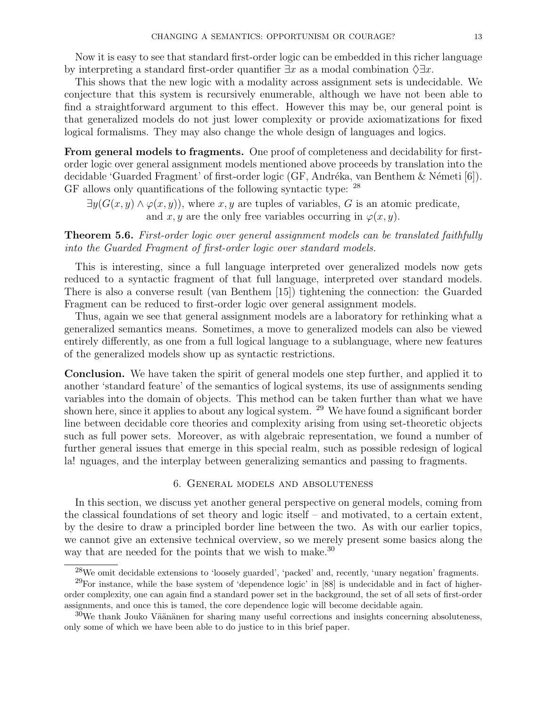Now it is easy to see that standard first-order logic can be embedded in this richer language by interpreting a standard first-order quantifier  $\exists x$  as a modal combination  $\Diamond \exists x$ .

This shows that the new logic with a modality across assignment sets is undecidable. We conjecture that this system is recursively enumerable, although we have not been able to find a straightforward argument to this effect. However this may be, our general point is that generalized models do not just lower complexity or provide axiomatizations for fixed logical formalisms. They may also change the whole design of languages and logics.

From general models to fragments. One proof of completeness and decidability for firstorder logic over general assignment models mentioned above proceeds by translation into the decidable 'Guarded Fragment' of first-order logic (GF, Andréka, van Benthem & Németi [6]). GF allows only quantifications of the following syntactic type:  $^{28}$ 

 $\exists y(G(x, y) \land \varphi(x, y))$ , where x, y are tuples of variables, G is an atomic predicate, and x, y are the only free variables occurring in  $\varphi(x, y)$ .

**Theorem 5.6.** First-order logic over general assignment models can be translated faithfully into the Guarded Fragment of first-order logic over standard models.

This is interesting, since a full language interpreted over generalized models now gets reduced to a syntactic fragment of that full language, interpreted over standard models. There is also a converse result (van Benthem [15]) tightening the connection: the Guarded Fragment can be reduced to first-order logic over general assignment models.

Thus, again we see that general assignment models are a laboratory for rethinking what a generalized semantics means. Sometimes, a move to generalized models can also be viewed entirely differently, as one from a full logical language to a sublanguage, where new features of the generalized models show up as syntactic restrictions.

Conclusion. We have taken the spirit of general models one step further, and applied it to another 'standard feature' of the semantics of logical systems, its use of assignments sending variables into the domain of objects. This method can be taken further than what we have shown here, since it applies to about any logical system. <sup>29</sup> We have found a significant border line between decidable core theories and complexity arising from using set-theoretic objects such as full power sets. Moreover, as with algebraic representation, we found a number of further general issues that emerge in this special realm, such as possible redesign of logical la! nguages, and the interplay between generalizing semantics and passing to fragments.

# 6. General models and absoluteness

In this section, we discuss yet another general perspective on general models, coming from the classical foundations of set theory and logic itself – and motivated, to a certain extent, by the desire to draw a principled border line between the two. As with our earlier topics, we cannot give an extensive technical overview, so we merely present some basics along the way that are needed for the points that we wish to make.<sup>30</sup>

<sup>28</sup>We omit decidable extensions to 'loosely guarded', 'packed' and, recently, 'unary negation' fragments.

 $29$ For instance, while the base system of 'dependence logic' in [88] is undecidable and in fact of higherorder complexity, one can again find a standard power set in the background, the set of all sets of first-order assignments, and once this is tamed, the core dependence logic will become decidable again.

 $30\text{We thank Jouko Väänänen for sharing many useful corrections and insights concerning absoluteness, }$ only some of which we have been able to do justice to in this brief paper.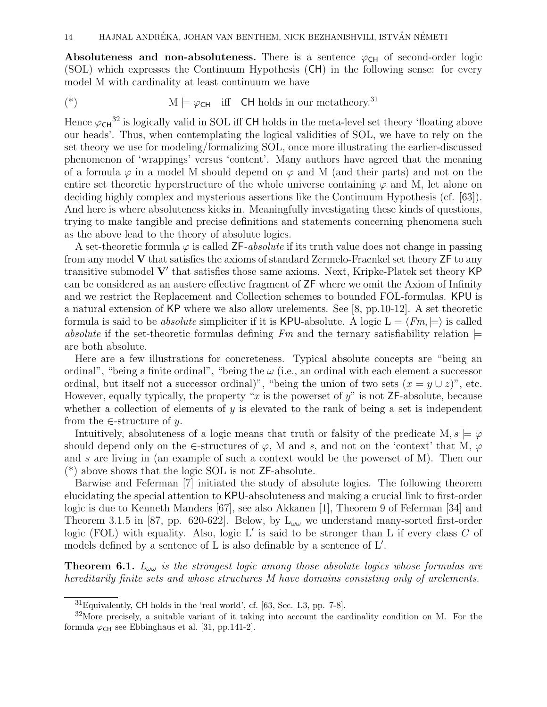Absoluteness and non-absoluteness. There is a sentence  $\varphi_{CH}$  of second-order logic (SOL) which expresses the Continuum Hypothesis (CH) in the following sense: for every model M with cardinality at least continuum we have

$$
(\text{*}) \qquad \qquad M \models \varphi_{\mathsf{CH}} \quad \text{iff} \quad \mathsf{CH} \text{ holds in our metatheory.}^{31}
$$

Hence  $\varphi_{\text{CH}}^{32}$  is logically valid in SOL iff CH holds in the meta-level set theory 'floating above our heads'. Thus, when contemplating the logical validities of SOL, we have to rely on the set theory we use for modeling/formalizing SOL, once more illustrating the earlier-discussed phenomenon of 'wrappings' versus 'content'. Many authors have agreed that the meaning of a formula  $\varphi$  in a model M should depend on  $\varphi$  and M (and their parts) and not on the entire set theoretic hyperstructure of the whole universe containing  $\varphi$  and M, let alone on deciding highly complex and mysterious assertions like the Continuum Hypothesis (cf. [63]). And here is where absoluteness kicks in. Meaningfully investigating these kinds of questions, trying to make tangible and precise definitions and statements concerning phenomena such as the above lead to the theory of absolute logics.

A set-theoretic formula  $\varphi$  is called ZF-*absolute* if its truth value does not change in passing from any model V that satisfies the axioms of standard Zermelo-Fraenkel set theory ZF to any transitive submodel  $V'$  that satisfies those same axioms. Next, Kripke-Platek set theory  $KP$ can be considered as an austere effective fragment of ZF where we omit the Axiom of Infinity and we restrict the Replacement and Collection schemes to bounded FOL-formulas. KPU is a natural extension of KP where we also allow urelements. See [8, pp.10-12]. A set theoretic formula is said to be *absolute* simpliciter if it is KPU-absolute. A logic  $L = \langle Fm, \models \rangle$  is called absolute if the set-theoretic formulas defining Fm and the ternary satisfiability relation  $\models$ are both absolute.

Here are a few illustrations for concreteness. Typical absolute concepts are "being an ordinal", "being a finite ordinal", "being the  $\omega$  (i.e., an ordinal with each element a successor ordinal, but itself not a successor ordinal)", "being the union of two sets  $(x = y \cup z)$ ", etc. However, equally typically, the property "x is the powerset of  $y$ " is not  $ZF$ -absolute, because whether a collection of elements of y is elevated to the rank of being a set is independent from the  $\in$ -structure of y.

Intuitively, absoluteness of a logic means that truth or falsity of the predicate  $M, s \models \varphi$ should depend only on the  $\in$ -structures of  $\varphi$ , M and s, and not on the 'context' that M,  $\varphi$ and s are living in (an example of such a context would be the powerset of M). Then our (\*) above shows that the logic SOL is not ZF-absolute.

Barwise and Feferman [7] initiated the study of absolute logics. The following theorem elucidating the special attention to KPU-absoluteness and making a crucial link to first-order logic is due to Kenneth Manders [67], see also Akkanen [1], Theorem 9 of Feferman [34] and Theorem 3.1.5 in [87, pp. 620-622]. Below, by  $L_{\omega\omega}$  we understand many-sorted first-order logic (FOL) with equality. Also, logic L' is said to be stronger than L if every class C of models defined by a sentence of  $L$  is also definable by a sentence of  $L'$ .

**Theorem 6.1.**  $L_{\omega\omega}$  is the strongest logic among those absolute logics whose formulas are hereditarily finite sets and whose structures M have domains consisting only of urelements.

 ${}^{31}$ Equivalently, CH holds in the 'real world', cf. [63, Sec. I.3, pp. 7-8].

 $32^3$ More precisely, a suitable variant of it taking into account the cardinality condition on M. For the formula  $\varphi_{\text{CH}}$  see Ebbinghaus et al. [31, pp.141-2].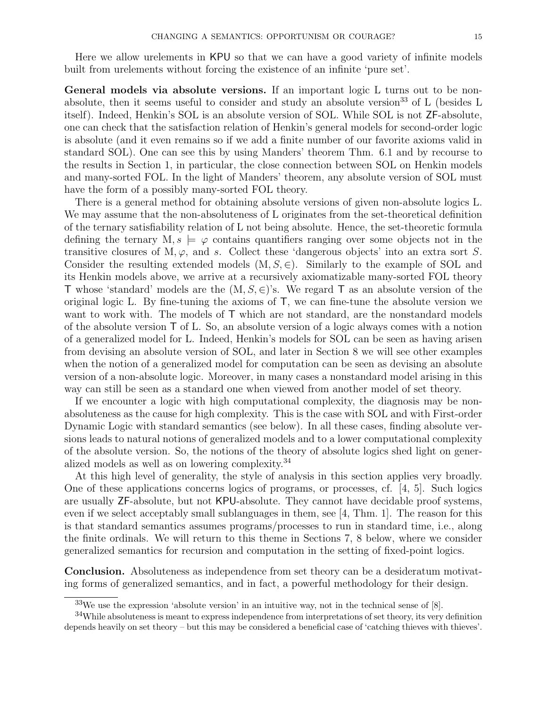Here we allow urelements in KPU so that we can have a good variety of infinite models built from urelements without forcing the existence of an infinite 'pure set'.

General models via absolute versions. If an important logic L turns out to be nonabsolute, then it seems useful to consider and study an absolute version<sup>33</sup> of L (besides L itself). Indeed, Henkin's SOL is an absolute version of SOL. While SOL is not ZF-absolute, one can check that the satisfaction relation of Henkin's general models for second-order logic is absolute (and it even remains so if we add a finite number of our favorite axioms valid in standard SOL). One can see this by using Manders' theorem Thm. 6.1 and by recourse to the results in Section 1, in particular, the close connection between SOL on Henkin models and many-sorted FOL. In the light of Manders' theorem, any absolute version of SOL must have the form of a possibly many-sorted FOL theory.

There is a general method for obtaining absolute versions of given non-absolute logics L. We may assume that the non-absoluteness of L originates from the set-theoretical definition of the ternary satisfiability relation of L not being absolute. Hence, the set-theoretic formula defining the ternary  $M, s \models \varphi$  contains quantifiers ranging over some objects not in the transitive closures of M,  $\varphi$ , and s. Collect these 'dangerous objects' into an extra sort S. Consider the resulting extended models  $(M, S, \epsilon)$ . Similarly to the example of SOL and its Henkin models above, we arrive at a recursively axiomatizable many-sorted FOL theory T whose 'standard' models are the  $(M, S, \in)$ 's. We regard T as an absolute version of the original logic L. By fine-tuning the axioms of  $\mathsf{T}$ , we can fine-tune the absolute version we want to work with. The models of  $\mathsf T$  which are not standard, are the nonstandard models of the absolute version T of L. So, an absolute version of a logic always comes with a notion of a generalized model for L. Indeed, Henkin's models for SOL can be seen as having arisen from devising an absolute version of SOL, and later in Section 8 we will see other examples when the notion of a generalized model for computation can be seen as devising an absolute version of a non-absolute logic. Moreover, in many cases a nonstandard model arising in this way can still be seen as a standard one when viewed from another model of set theory.

If we encounter a logic with high computational complexity, the diagnosis may be nonabsoluteness as the cause for high complexity. This is the case with SOL and with First-order Dynamic Logic with standard semantics (see below). In all these cases, finding absolute versions leads to natural notions of generalized models and to a lower computational complexity of the absolute version. So, the notions of the theory of absolute logics shed light on generalized models as well as on lowering complexity.<sup>34</sup>

At this high level of generality, the style of analysis in this section applies very broadly. One of these applications concerns logics of programs, or processes, cf. [4, 5]. Such logics are usually ZF-absolute, but not KPU-absolute. They cannot have decidable proof systems, even if we select acceptably small sublanguages in them, see  $|4$ , Thm. 1. The reason for this is that standard semantics assumes programs/processes to run in standard time, i.e., along the finite ordinals. We will return to this theme in Sections 7, 8 below, where we consider generalized semantics for recursion and computation in the setting of fixed-point logics.

Conclusion. Absoluteness as independence from set theory can be a desideratum motivating forms of generalized semantics, and in fact, a powerful methodology for their design.

 $33\text{We}$  use the expression 'absolute version' in an intuitive way, not in the technical sense of [8].

 $34$ While absoluteness is meant to express independence from interpretations of set theory, its very definition depends heavily on set theory – but this may be considered a beneficial case of 'catching thieves with thieves'.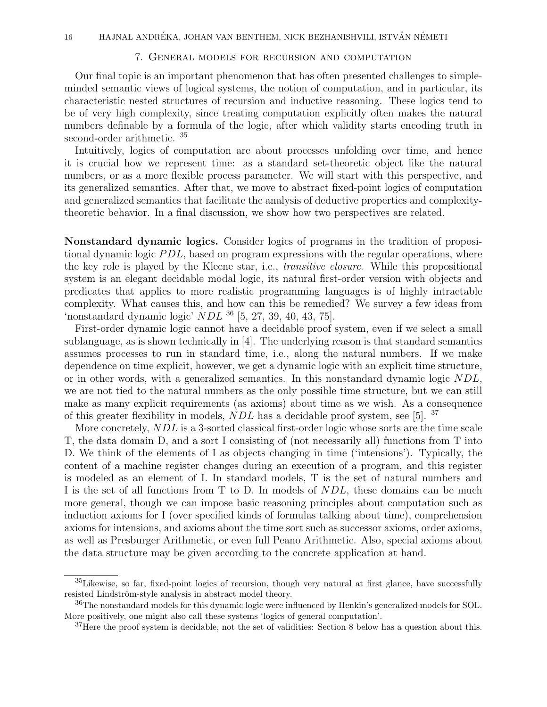#### 7. General models for recursion and computation

Our final topic is an important phenomenon that has often presented challenges to simpleminded semantic views of logical systems, the notion of computation, and in particular, its characteristic nested structures of recursion and inductive reasoning. These logics tend to be of very high complexity, since treating computation explicitly often makes the natural numbers definable by a formula of the logic, after which validity starts encoding truth in second-order arithmetic.<sup>35</sup>

Intuitively, logics of computation are about processes unfolding over time, and hence it is crucial how we represent time: as a standard set-theoretic object like the natural numbers, or as a more flexible process parameter. We will start with this perspective, and its generalized semantics. After that, we move to abstract fixed-point logics of computation and generalized semantics that facilitate the analysis of deductive properties and complexitytheoretic behavior. In a final discussion, we show how two perspectives are related.

Nonstandard dynamic logics. Consider logics of programs in the tradition of propositional dynamic logic  $PDL$ , based on program expressions with the regular operations, where the key role is played by the Kleene star, i.e., transitive closure. While this propositional system is an elegant decidable modal logic, its natural first-order version with objects and predicates that applies to more realistic programming languages is of highly intractable complexity. What causes this, and how can this be remedied? We survey a few ideas from 'nonstandard dynamic logic' NDL <sup>36</sup> [5, 27, 39, 40, 43, 75].

First-order dynamic logic cannot have a decidable proof system, even if we select a small sublanguage, as is shown technically in [4]. The underlying reason is that standard semantics assumes processes to run in standard time, i.e., along the natural numbers. If we make dependence on time explicit, however, we get a dynamic logic with an explicit time structure, or in other words, with a generalized semantics. In this nonstandard dynamic logic NDL, we are not tied to the natural numbers as the only possible time structure, but we can still make as many explicit requirements (as axioms) about time as we wish. As a consequence of this greater flexibility in models,  $NDL$  has a decidable proof system, see [5].  $37$ 

More concretely, NDL is a 3-sorted classical first-order logic whose sorts are the time scale T, the data domain D, and a sort I consisting of (not necessarily all) functions from T into D. We think of the elements of I as objects changing in time ('intensions'). Typically, the content of a machine register changes during an execution of a program, and this register is modeled as an element of I. In standard models, T is the set of natural numbers and I is the set of all functions from T to D. In models of NDL, these domains can be much more general, though we can impose basic reasoning principles about computation such as induction axioms for I (over specified kinds of formulas talking about time), comprehension axioms for intensions, and axioms about the time sort such as successor axioms, order axioms, as well as Presburger Arithmetic, or even full Peano Arithmetic. Also, special axioms about the data structure may be given according to the concrete application at hand.

<sup>&</sup>lt;sup>35</sup>Likewise, so far, fixed-point logics of recursion, though very natural at first glance, have successfully resisted Lindström-style analysis in abstract model theory.

<sup>36</sup>The nonstandard models for this dynamic logic were influenced by Henkin's generalized models for SOL. More positively, one might also call these systems 'logics of general computation'.

 $37$ Here the proof system is decidable, not the set of validities: Section 8 below has a question about this.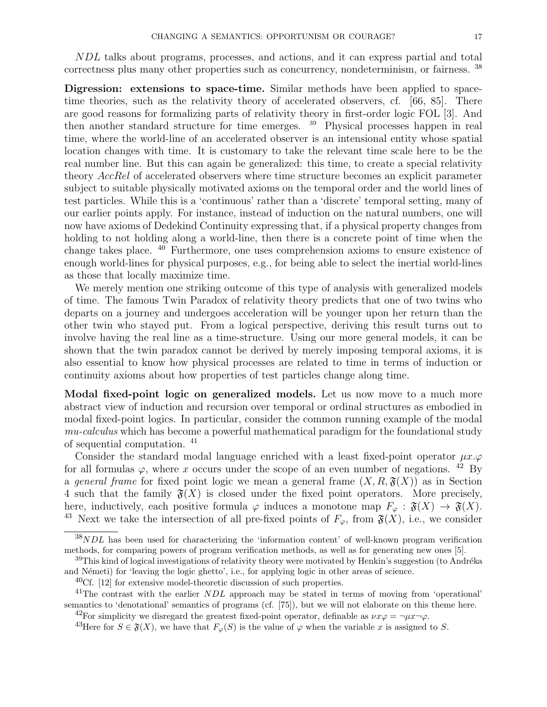NDL talks about programs, processes, and actions, and it can express partial and total correctness plus many other properties such as concurrency, nondeterminism, or fairness. <sup>38</sup>

Digression: extensions to space-time. Similar methods have been applied to spacetime theories, such as the relativity theory of accelerated observers, cf. [66, 85]. There are good reasons for formalizing parts of relativity theory in first-order logic FOL [3]. And then another standard structure for time emerges. <sup>39</sup> Physical processes happen in real time, where the world-line of an accelerated observer is an intensional entity whose spatial location changes with time. It is customary to take the relevant time scale here to be the real number line. But this can again be generalized: this time, to create a special relativity theory AccRel of accelerated observers where time structure becomes an explicit parameter subject to suitable physically motivated axioms on the temporal order and the world lines of test particles. While this is a 'continuous' rather than a 'discrete' temporal setting, many of our earlier points apply. For instance, instead of induction on the natural numbers, one will now have axioms of Dedekind Continuity expressing that, if a physical property changes from holding to not holding along a world-line, then there is a concrete point of time when the change takes place. <sup>40</sup> Furthermore, one uses comprehension axioms to ensure existence of enough world-lines for physical purposes, e.g., for being able to select the inertial world-lines as those that locally maximize time.

We merely mention one striking outcome of this type of analysis with generalized models of time. The famous Twin Paradox of relativity theory predicts that one of two twins who departs on a journey and undergoes acceleration will be younger upon her return than the other twin who stayed put. From a logical perspective, deriving this result turns out to involve having the real line as a time-structure. Using our more general models, it can be shown that the twin paradox cannot be derived by merely imposing temporal axioms, it is also essential to know how physical processes are related to time in terms of induction or continuity axioms about how properties of test particles change along time.

Modal fixed-point logic on generalized models. Let us now move to a much more abstract view of induction and recursion over temporal or ordinal structures as embodied in modal fixed-point logics. In particular, consider the common running example of the modal mu-calculus which has become a powerful mathematical paradigm for the foundational study of sequential computation. <sup>41</sup>

Consider the standard modal language enriched with a least fixed-point operator  $\mu x.\varphi$ for all formulas  $\varphi$ , where x occurs under the scope of an even number of negations. <sup>42</sup> By a general frame for fixed point logic we mean a general frame  $(X, R, \mathfrak{F}(X))$  as in Section 4 such that the family  $\mathfrak{F}(X)$  is closed under the fixed point operators. More precisely, here, inductively, each positive formula  $\varphi$  induces a monotone map  $F_{\varphi}: \mathfrak{F}(X) \to \mathfrak{F}(X)$ . <sup>43</sup> Next we take the intersection of all pre-fixed points of  $F_{\varphi}$ , from  $\mathfrak{F}(X)$ , i.e., we consider

 $38NDL$  has been used for characterizing the 'information content' of well-known program verification methods, for comparing powers of program verification methods, as well as for generating new ones [5].

<sup>&</sup>lt;sup>39</sup>This kind of logical investigations of relativity theory were motivated by Henkin's suggestion (to Andréka and Németi) for 'leaving the logic ghetto', i.e., for applying logic in other areas of science.

 $^{40}$ Cf. [12] for extensive model-theoretic discussion of such properties.

 $^{41}$ The contrast with the earlier *NDL* approach may be stated in terms of moving from 'operational' semantics to 'denotational' semantics of programs (cf. [75]), but we will not elaborate on this theme here.

<sup>&</sup>lt;sup>42</sup>For simplicity we disregard the greatest fixed-point operator, definable as  $\nu x\varphi = \neg \mu x \neg \varphi$ .

<sup>&</sup>lt;sup>43</sup>Here for  $S \in \mathfrak{F}(X)$ , we have that  $F_{\varphi}(S)$  is the value of  $\varphi$  when the variable x is assigned to S.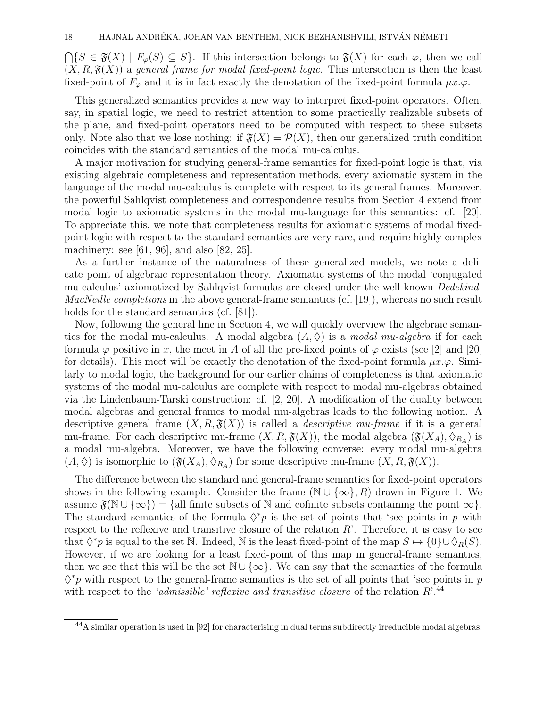$\bigcap \{S \in \mathfrak{F}(X) \mid F_{\varphi}(S) \subseteq S\}.$  If this intersection belongs to  $\mathfrak{F}(X)$  for each  $\varphi$ , then we call  $(X, R, \mathfrak{F}(X))$  a general frame for modal fixed-point logic. This intersection is then the least fixed-point of  $F_{\varphi}$  and it is in fact exactly the denotation of the fixed-point formula  $\mu x.\varphi$ .

This generalized semantics provides a new way to interpret fixed-point operators. Often, say, in spatial logic, we need to restrict attention to some practically realizable subsets of the plane, and fixed-point operators need to be computed with respect to these subsets only. Note also that we lose nothing: if  $\mathfrak{F}(X) = \mathcal{P}(X)$ , then our generalized truth condition coincides with the standard semantics of the modal mu-calculus.

A major motivation for studying general-frame semantics for fixed-point logic is that, via existing algebraic completeness and representation methods, every axiomatic system in the language of the modal mu-calculus is complete with respect to its general frames. Moreover, the powerful Sahlqvist completeness and correspondence results from Section 4 extend from modal logic to axiomatic systems in the modal mu-language for this semantics: cf. [20]. To appreciate this, we note that completeness results for axiomatic systems of modal fixedpoint logic with respect to the standard semantics are very rare, and require highly complex machinery: see [61, 96], and also [82, 25].

As a further instance of the naturalness of these generalized models, we note a delicate point of algebraic representation theory. Axiomatic systems of the modal 'conjugated mu-calculus' axiomatized by Sahlqvist formulas are closed under the well-known Dedekind-*MacNeille completions* in the above general-frame semantics (cf. [19]), whereas no such result holds for the standard semantics (cf.  $|81|$ ).

Now, following the general line in Section 4, we will quickly overview the algebraic semantics for the modal mu-calculus. A modal algebra  $(A, \Diamond)$  is a modal mu-algebra if for each formula  $\varphi$  positive in x, the meet in A of all the pre-fixed points of  $\varphi$  exists (see [2] and [20] for details). This meet will be exactly the denotation of the fixed-point formula  $\mu x.\varphi$ . Similarly to modal logic, the background for our earlier claims of completeness is that axiomatic systems of the modal mu-calculus are complete with respect to modal mu-algebras obtained via the Lindenbaum-Tarski construction: cf. [2, 20]. A modification of the duality between modal algebras and general frames to modal mu-algebras leads to the following notion. A descriptive general frame  $(X, R, \mathfrak{F}(X))$  is called a *descriptive mu-frame* if it is a general mu-frame. For each descriptive mu-frame  $(X, R, \mathfrak{F}(X))$ , the modal algebra  $(\mathfrak{F}(X_A), \mathcal{O}_{R_A})$  is a modal mu-algebra. Moreover, we have the following converse: every modal mu-algebra  $(A, \Diamond)$  is isomorphic to  $(\mathfrak{F}(X_A), \Diamond_{R_A})$  for some descriptive mu-frame  $(X, R, \mathfrak{F}(X))$ .

The difference between the standard and general-frame semantics for fixed-point operators shows in the following example. Consider the frame ( $\mathbb{N} \cup \{\infty\}$ , R) drawn in Figure 1. We assume  $\mathfrak{F}(\mathbb{N} \cup \{\infty\}) = \{\text{all finite subsets of } \mathbb{N} \text{ and cofinite subsets containing the point } \infty\}.$ The standard semantics of the formula  $\Diamond^* p$  is the set of points that 'see points in p with respect to the reflexive and transitive closure of the relation  $R'$ . Therefore, it is easy to see that  $\Diamond^* p$  is equal to the set N. Indeed, N is the least fixed-point of the map  $S \mapsto \{0\} \cup \Diamond_R(S)$ . However, if we are looking for a least fixed-point of this map in general-frame semantics, then we see that this will be the set  $\mathbb{N} \cup \{\infty\}$ . We can say that the semantics of the formula  $\Diamond^* p$  with respect to the general-frame semantics is the set of all points that 'see points in p with respect to the 'admissible' reflexive and transitive closure of the relation  $R^{\cdot,44}$ 

<sup>44</sup>A similar operation is used in [92] for characterising in dual terms subdirectly irreducible modal algebras.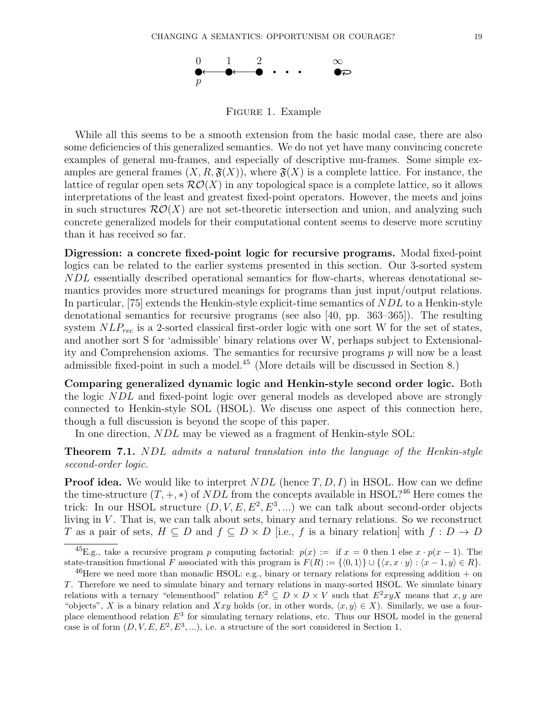

Figure 1. Example

While all this seems to be a smooth extension from the basic modal case, there are also some deficiencies of this generalized semantics. We do not yet have many convincing concrete examples of general mu-frames, and especially of descriptive mu-frames. Some simple examples are general frames  $(X, R, \mathfrak{F}(X))$ , where  $\mathfrak{F}(X)$  is a complete lattice. For instance, the lattice of regular open sets  $\mathcal{RO}(X)$  in any topological space is a complete lattice, so it allows interpretations of the least and greatest fixed-point operators. However, the meets and joins in such structures  $\mathcal{RO}(X)$  are not set-theoretic intersection and union, and analyzing such concrete generalized models for their computational content seems to deserve more scrutiny than it has received so far.

Digression: a concrete fixed-point logic for recursive programs. Modal fixed-point logics can be related to the earlier systems presented in this section. Our 3-sorted system NDL essentially described operational semantics for flow-charts, whereas denotational semantics provides more structured meanings for programs than just input/output relations. In particular, [75] extends the Henkin-style explicit-time semantics of NDL to a Henkin-style denotational semantics for recursive programs (see also [40, pp. 363–365]). The resulting system  $NLP_{rec}$  is a 2-sorted classical first-order logic with one sort W for the set of states, and another sort S for 'admissible' binary relations over W, perhaps subject to Extensionality and Comprehension axioms. The semantics for recursive programs  $p$  will now be a least admissible fixed-point in such a model.<sup>45</sup> (More details will be discussed in Section 8.)

Comparing generalized dynamic logic and Henkin-style second order logic. Both the logic NDL and fixed-point logic over general models as developed above are strongly connected to Henkin-style SOL (HSOL). We discuss one aspect of this connection here, though a full discussion is beyond the scope of this paper.

In one direction, NDL may be viewed as a fragment of Henkin-style SOL:

Theorem 7.1. NDL admits a natural translation into the language of the Henkin-style second-order logic.

**Proof idea.** We would like to interpret  $NDL$  (hence  $T, D, I$ ) in HSOL. How can we define the time-structure  $(T, +, *)$  of  $NDL$  from the concepts available in HSOL?<sup>46</sup> Here comes the trick: In our HSOL structure  $(D, V, E, E^2, E^3, ...)$  we can talk about second-order objects living in  $V$ . That is, we can talk about sets, binary and ternary relations. So we reconstruct T as a pair of sets,  $H \subseteq D$  and  $f \subseteq D \times D$  [i.e., f is a binary relation] with  $f : D \to D$ 

<sup>&</sup>lt;sup>45</sup>E.g., take a recursive program p computing factorial:  $p(x) :=$  if  $x = 0$  then 1 else  $x \cdot p(x - 1)$ . The state-transition functional F associated with this program is  $F(R) := \{ (0, 1) \} \cup \{ \langle x, x \cdot y \rangle : \langle x - 1, y \rangle \in R \}.$ 

<sup>&</sup>lt;sup>46</sup>Here we need more than monadic HSOL: e.g., binary or ternary relations for expressing addition + on T. Therefore we need to simulate binary and ternary relations in many-sorted HSOL. We simulate binary relations with a ternary "elementhood" relation  $E^2 \subseteq D \times D \times V$  such that  $E^2xyX$  means that x, y are "objects", X is a binary relation and Xxy holds (or, in other words,  $\langle x, y \rangle \in X$ ). Similarly, we use a fourplace elementhood relation  $E^3$  for simulating ternary relations, etc. Thus our HSOL model in the general case is of form  $(D, V, E, E^2, E^3, \ldots)$ , i.e. a structure of the sort considered in Section 1.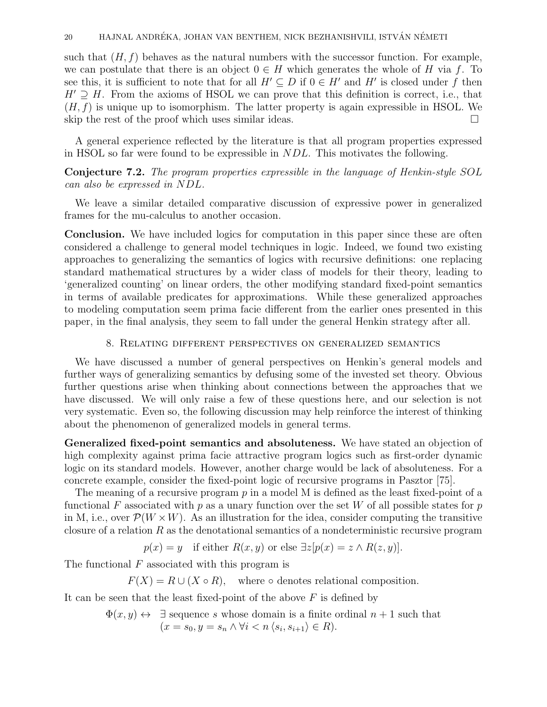such that  $(H, f)$  behaves as the natural numbers with the successor function. For example, we can postulate that there is an object  $0 \in H$  which generates the whole of H via f. To see this, it is sufficient to note that for all  $H' \subseteq D$  if  $0 \in H'$  and H' is closed under f then  $H' \supseteq H$ . From the axioms of HSOL we can prove that this definition is correct, i.e., that  $(H, f)$  is unique up to isomorphism. The latter property is again expressible in HSOL. We skip the rest of the proof which uses similar ideas.

A general experience reflected by the literature is that all program properties expressed in HSOL so far were found to be expressible in NDL. This motivates the following.

Conjecture 7.2. The program properties expressible in the language of Henkin-style SOL can also be expressed in NDL.

We leave a similar detailed comparative discussion of expressive power in generalized frames for the mu-calculus to another occasion.

Conclusion. We have included logics for computation in this paper since these are often considered a challenge to general model techniques in logic. Indeed, we found two existing approaches to generalizing the semantics of logics with recursive definitions: one replacing standard mathematical structures by a wider class of models for their theory, leading to 'generalized counting' on linear orders, the other modifying standard fixed-point semantics in terms of available predicates for approximations. While these generalized approaches to modeling computation seem prima facie different from the earlier ones presented in this paper, in the final analysis, they seem to fall under the general Henkin strategy after all.

#### 8. Relating different perspectives on generalized semantics

We have discussed a number of general perspectives on Henkin's general models and further ways of generalizing semantics by defusing some of the invested set theory. Obvious further questions arise when thinking about connections between the approaches that we have discussed. We will only raise a few of these questions here, and our selection is not very systematic. Even so, the following discussion may help reinforce the interest of thinking about the phenomenon of generalized models in general terms.

Generalized fixed-point semantics and absoluteness. We have stated an objection of high complexity against prima facie attractive program logics such as first-order dynamic logic on its standard models. However, another charge would be lack of absoluteness. For a concrete example, consider the fixed-point logic of recursive programs in Pasztor [75].

The meaning of a recursive program  $p$  in a model M is defined as the least fixed-point of a functional F associated with p as a unary function over the set W of all possible states for p in M, i.e., over  $\mathcal{P}(W \times W)$ . As an illustration for the idea, consider computing the transitive closure of a relation  $R$  as the denotational semantics of a nondeterministic recursive program

 $p(x) = y$  if either  $R(x, y)$  or else  $\exists z[p(x) = z \land R(z, y)].$ 

The functional  $F$  associated with this program is

 $F(X) = R \cup (X \circ R)$ , where  $\circ$  denotes relational composition.

It can be seen that the least fixed-point of the above  $F$  is defined by

 $\Phi(x, y) \leftrightarrow \exists$  sequence s whose domain is a finite ordinal  $n + 1$  such that  $(x = s_0, y = s_n \wedge \forall i < n \langle s_i, s_{i+1} \rangle \in R).$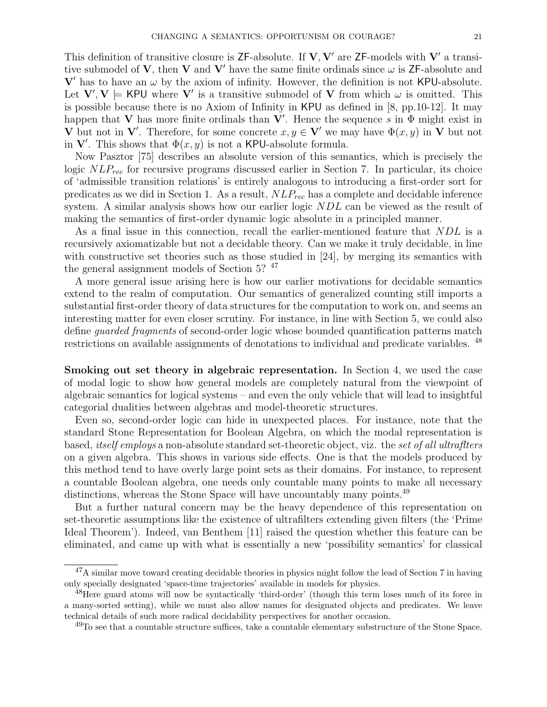This definition of transitive closure is  $ZF$ -absolute. If  $V, V'$  are  $ZF$ -models with  $V'$  a transitive submodel of V, then V and V' have the same finite ordinals since  $\omega$  is ZF-absolute and  $V'$  has to have an  $\omega$  by the axiom of infinity. However, the definition is not KPU-absolute. Let  $V', V \models$  KPU where V' is a transitive submodel of V from which  $\omega$  is omitted. This is possible because there is no Axiom of Infinity in KPU as defined in [8, pp.10-12]. It may happen that V has more finite ordinals than  $V'$ . Hence the sequence s in  $\Phi$  might exist in V but not in V'. Therefore, for some concrete  $x, y \in V'$  we may have  $\Phi(x, y)$  in V but not in  $V'$ . This shows that  $\Phi(x, y)$  is not a KPU-absolute formula.

Now Pasztor [75] describes an absolute version of this semantics, which is precisely the logic  $NLP_{rec}$  for recursive programs discussed earlier in Section 7. In particular, its choice of 'admissible transition relations' is entirely analogous to introducing a first-order sort for predicates as we did in Section 1. As a result,  $NLP_{rec}$  has a complete and decidable inference system. A similar analysis shows how our earlier logic NDL can be viewed as the result of making the semantics of first-order dynamic logic absolute in a principled manner.

As a final issue in this connection, recall the earlier-mentioned feature that NDL is a recursively axiomatizable but not a decidable theory. Can we make it truly decidable, in line with constructive set theories such as those studied in [24], by merging its semantics with the general assignment models of Section 5? <sup>47</sup>

A more general issue arising here is how our earlier motivations for decidable semantics extend to the realm of computation. Our semantics of generalized counting still imports a substantial first-order theory of data structures for the computation to work on, and seems an interesting matter for even closer scrutiny. For instance, in line with Section 5, we could also define guarded fragments of second-order logic whose bounded quantification patterns match restrictions on available assignments of denotations to individual and predicate variables. <sup>48</sup>

Smoking out set theory in algebraic representation. In Section 4, we used the case of modal logic to show how general models are completely natural from the viewpoint of algebraic semantics for logical systems – and even the only vehicle that will lead to insightful categorial dualities between algebras and model-theoretic structures.

Even so, second-order logic can hide in unexpected places. For instance, note that the standard Stone Representation for Boolean Algebra, on which the modal representation is based, itself employs a non-absolute standard set-theoretic object, viz. the set of all ultraflters on a given algebra. This shows in various side effects. One is that the models produced by this method tend to have overly large point sets as their domains. For instance, to represent a countable Boolean algebra, one needs only countable many points to make all necessary distinctions, whereas the Stone Space will have uncountably many points.<sup>49</sup>

But a further natural concern may be the heavy dependence of this representation on set-theoretic assumptions like the existence of ultrafilters extending given filters (the 'Prime Ideal Theorem'). Indeed, van Benthem [11] raised the question whether this feature can be eliminated, and came up with what is essentially a new 'possibility semantics' for classical

 $^{47}$ A similar move toward creating decidable theories in physics might follow the lead of Section 7 in having only specially designated 'space-time trajectories' available in models for physics.

<sup>&</sup>lt;sup>48</sup>Here guard atoms will now be syntactically 'third-order' (though this term loses much of its force in a many-sorted setting), while we must also allow names for designated objects and predicates. We leave technical details of such more radical decidability perspectives for another occasion.

<sup>&</sup>lt;sup>49</sup>To see that a countable structure suffices, take a countable elementary substructure of the Stone Space.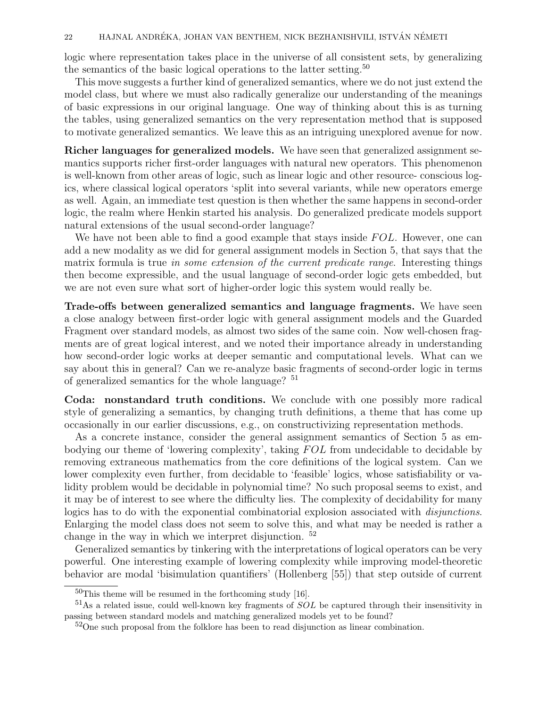logic where representation takes place in the universe of all consistent sets, by generalizing the semantics of the basic logical operations to the latter setting.<sup>50</sup>

This move suggests a further kind of generalized semantics, where we do not just extend the model class, but where we must also radically generalize our understanding of the meanings of basic expressions in our original language. One way of thinking about this is as turning the tables, using generalized semantics on the very representation method that is supposed to motivate generalized semantics. We leave this as an intriguing unexplored avenue for now.

Richer languages for generalized models. We have seen that generalized assignment semantics supports richer first-order languages with natural new operators. This phenomenon is well-known from other areas of logic, such as linear logic and other resource- conscious logics, where classical logical operators 'split into several variants, while new operators emerge as well. Again, an immediate test question is then whether the same happens in second-order logic, the realm where Henkin started his analysis. Do generalized predicate models support natural extensions of the usual second-order language?

We have not been able to find a good example that stays inside  $FOL$ . However, one can add a new modality as we did for general assignment models in Section 5, that says that the matrix formula is true in some extension of the current predicate range. Interesting things then become expressible, and the usual language of second-order logic gets embedded, but we are not even sure what sort of higher-order logic this system would really be.

Trade-offs between generalized semantics and language fragments. We have seen a close analogy between first-order logic with general assignment models and the Guarded Fragment over standard models, as almost two sides of the same coin. Now well-chosen fragments are of great logical interest, and we noted their importance already in understanding how second-order logic works at deeper semantic and computational levels. What can we say about this in general? Can we re-analyze basic fragments of second-order logic in terms of generalized semantics for the whole language? <sup>51</sup>

Coda: nonstandard truth conditions. We conclude with one possibly more radical style of generalizing a semantics, by changing truth definitions, a theme that has come up occasionally in our earlier discussions, e.g., on constructivizing representation methods.

As a concrete instance, consider the general assignment semantics of Section 5 as embodying our theme of 'lowering complexity', taking FOL from undecidable to decidable by removing extraneous mathematics from the core definitions of the logical system. Can we lower complexity even further, from decidable to 'feasible' logics, whose satisfiability or validity problem would be decidable in polynomial time? No such proposal seems to exist, and it may be of interest to see where the difficulty lies. The complexity of decidability for many logics has to do with the exponential combinatorial explosion associated with disjunctions. Enlarging the model class does not seem to solve this, and what may be needed is rather a change in the way in which we interpret disjunction. <sup>52</sup>

Generalized semantics by tinkering with the interpretations of logical operators can be very powerful. One interesting example of lowering complexity while improving model-theoretic behavior are modal 'bisimulation quantifiers' (Hollenberg [55]) that step outside of current

 $50$ This theme will be resumed in the forthcoming study [16].

 $51\text{As}$  a related issue, could well-known key fragments of  $SOL$  be captured through their insensitivity in passing between standard models and matching generalized models yet to be found?

<sup>&</sup>lt;sup>52</sup>One such proposal from the folklore has been to read disjunction as linear combination.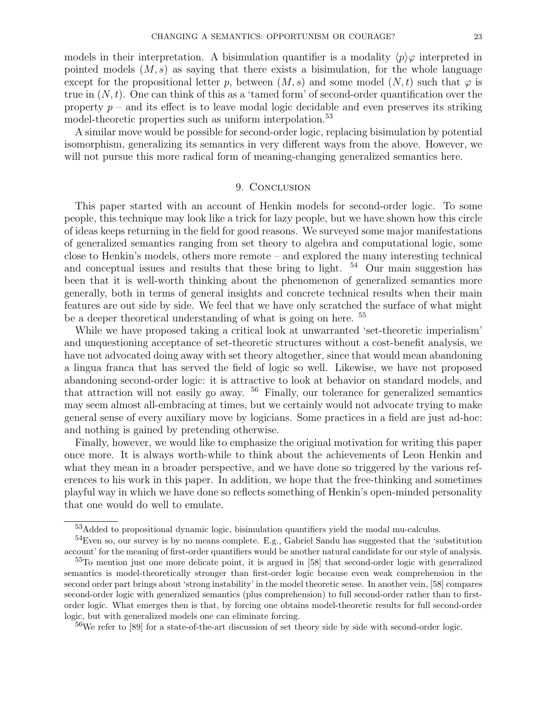models in their interpretation. A bisimulation quantifier is a modality  $\langle p \rangle \varphi$  interpreted in pointed models  $(M, s)$  as saying that there exists a bisimulation, for the whole language except for the propositional letter p, between  $(M, s)$  and some model  $(N, t)$  such that  $\varphi$  is true in  $(N, t)$ . One can think of this as a 'tamed form' of second-order quantification over the property  $p$  – and its effect is to leave modal logic decidable and even preserves its striking model-theoretic properties such as uniform interpolation.<sup>53</sup>

A similar move would be possible for second-order logic, replacing bisimulation by potential isomorphism, generalizing its semantics in very different ways from the above. However, we will not pursue this more radical form of meaning-changing generalized semantics here.

# 9. CONCLUSION

This paper started with an account of Henkin models for second-order logic. To some people, this technique may look like a trick for lazy people, but we have shown how this circle of ideas keeps returning in the field for good reasons. We surveyed some major manifestations of generalized semantics ranging from set theory to algebra and computational logic, some close to Henkin's models, others more remote – and explored the many interesting technical and conceptual issues and results that these bring to light. <sup>54</sup> Our main suggestion has been that it is well-worth thinking about the phenomenon of generalized semantics more generally, both in terms of general insights and concrete technical results when their main features are out side by side. We feel that we have only scratched the surface of what might be a deeper theoretical understanding of what is going on here. <sup>55</sup>

While we have proposed taking a critical look at unwarranted 'set-theoretic imperialism' and unquestioning acceptance of set-theoretic structures without a cost-benefit analysis, we have not advocated doing away with set theory altogether, since that would mean abandoning a lingua franca that has served the field of logic so well. Likewise, we have not proposed abandoning second-order logic: it is attractive to look at behavior on standard models, and that attraction will not easily go away.  $56$  Finally, our tolerance for generalized semantics may seem almost all-embracing at times, but we certainly would not advocate trying to make general sense of every auxiliary move by logicians. Some practices in a field are just ad-hoc: and nothing is gained by pretending otherwise.

Finally, however, we would like to emphasize the original motivation for writing this paper once more. It is always worth-while to think about the achievements of Leon Henkin and what they mean in a broader perspective, and we have done so triggered by the various references to his work in this paper. In addition, we hope that the free-thinking and sometimes playful way in which we have done so reflects something of Henkin's open-minded personality that one would do well to emulate.

<sup>&</sup>lt;sup>53</sup>Added to propositional dynamic logic, bisimulation quantifiers yield the modal mu-calculus.

<sup>54</sup>Even so, our survey is by no means complete. E.g., Gabriel Sandu has suggested that the 'substitution account' for the meaning of first-order quantifiers would be another natural candidate for our style of analysis.

<sup>55</sup>To mention just one more delicate point, it is argued in [58] that second-order logic with generalized semantics is model-theoretically stronger than first-order logic because even weak comprehension in the second order part brings about 'strong instability' in the model theoretic sense. In another vein, [58] compares second-order logic with generalized semantics (plus comprehension) to full second-order rather than to firstorder logic. What emerges then is that, by forcing one obtains model-theoretic results for full second-order logic, but with generalized models one can eliminate forcing.

<sup>56</sup>We refer to [89] for a state-of-the-art discussion of set theory side by side with second-order logic.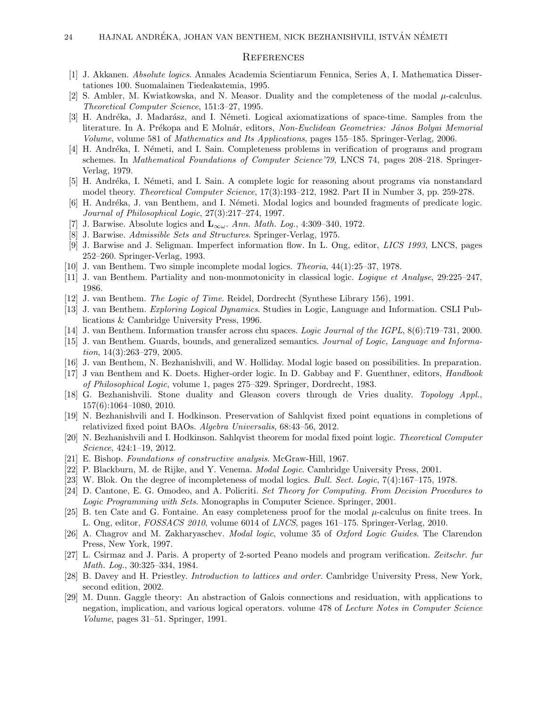#### **REFERENCES**

- [1] J. Akkanen. Absolute logics. Annales Academia Scientiarum Fennica, Series A, I. Mathematica Dissertationes 100. Suomalainen Tiedeakatemia, 1995.
- [2] S. Ambler, M. Kwiatkowska, and N. Measor. Duality and the completeness of the modal  $\mu$ -calculus. Theoretical Computer Science, 151:3–27, 1995.
- [3] H. Andréka, J. Madarász, and I. Németi. Logical axiomatizations of space-time. Samples from the literature. In A. Prékopa and E Molnár, editors, Non-Euclidean Geometries: János Bolyai Memorial Volume, volume 581 of Mathematics and Its Applications, pages 155–185. Springer-Verlag, 2006.
- [4] H. Andréka, I. Németi, and I. Sain. Completeness problems in verification of programs and program schemes. In Mathematical Foundations of Computer Science'79, LNCS 74, pages 208–218. Springer-Verlag, 1979.
- [5] H. Andr´eka, I. N´emeti, and I. Sain. A complete logic for reasoning about programs via nonstandard model theory. Theoretical Computer Science, 17(3):193–212, 1982. Part II in Number 3, pp. 259-278.
- [6] H. Andr´eka, J. van Benthem, and I. N´emeti. Modal logics and bounded fragments of predicate logic. Journal of Philosophical Logic, 27(3):217–274, 1997.
- [7] J. Barwise. Absolute logics and  $\mathbf{L}_{\infty}$ . Ann. Math. Log., 4:309–340, 1972.
- [8] J. Barwise. Admissible Sets and Structures. Springer-Verlag, 1975.
- [9] J. Barwise and J. Seligman. Imperfect information flow. In L. Ong, editor, LICS 1993, LNCS, pages 252–260. Springer-Verlag, 1993.
- [10] J. van Benthem. Two simple incomplete modal logics. Theoria, 44(1):25–37, 1978.
- [11] J. van Benthem. Partiality and non-monmotonicity in classical logic. Logique et Analyse, 29:225–247, 1986.
- [12] J. van Benthem. The Logic of Time. Reidel, Dordrecht (Synthese Library 156), 1991.
- [13] J. van Benthem. Exploring Logical Dynamics. Studies in Logic, Language and Information. CSLI Publications & Cambridge University Press, 1996.
- [14] J. van Benthem. Information transfer across chu spaces. Logic Journal of the IGPL, 8(6):719–731, 2000.
- [15] J. van Benthem. Guards, bounds, and generalized semantics. Journal of Logic, Language and Information, 14(3):263–279, 2005.
- [16] J. van Benthem, N. Bezhanishvili, and W. Holliday. Modal logic based on possibilities. In preparation.
- [17] J van Benthem and K. Doets. Higher-order logic. In D. Gabbay and F. Guenthner, editors, Handbook of Philosophical Logic, volume 1, pages 275–329. Springer, Dordrecht, 1983.
- [18] G. Bezhanishvili. Stone duality and Gleason covers through de Vries duality. Topology Appl., 157(6):1064–1080, 2010.
- [19] N. Bezhanishvili and I. Hodkinson. Preservation of Sahlqvist fixed point equations in completions of relativized fixed point BAOs. Algebra Universalis, 68:43–56, 2012.
- [20] N. Bezhanishvili and I. Hodkinson. Sahlqvist theorem for modal fixed point logic. Theoretical Computer Science, 424:1–19, 2012.
- [21] E. Bishop. Foundations of constructive analysis. McGraw-Hill, 1967.
- [22] P. Blackburn, M. de Rijke, and Y. Venema. *Modal Logic*. Cambridge University Press, 2001.
- [23] W. Blok. On the degree of incompleteness of modal logics. Bull. Sect. Logic, 7(4):167–175, 1978.
- [24] D. Cantone, E. G. Omodeo, and A. Policriti. Set Theory for Computing. From Decision Procedures to Logic Programming with Sets. Monographs in Computer Science. Springer, 2001.
- [25] B. ten Cate and G. Fontaine. An easy completeness proof for the modal  $\mu$ -calculus on finite trees. In L. Ong, editor, FOSSACS 2010, volume 6014 of LNCS, pages 161–175. Springer-Verlag, 2010.
- [26] A. Chagrov and M. Zakharyaschev. Modal logic, volume 35 of Oxford Logic Guides. The Clarendon Press, New York, 1997.
- [27] L. Csirmaz and J. Paris. A property of 2-sorted Peano models and program verification. Zeitschr. fur Math. Log., 30:325–334, 1984.
- [28] B. Davey and H. Priestley. Introduction to lattices and order. Cambridge University Press, New York, second edition, 2002.
- [29] M. Dunn. Gaggle theory: An abstraction of Galois connections and residuation, with applications to negation, implication, and various logical operators. volume 478 of Lecture Notes in Computer Science Volume, pages 31–51. Springer, 1991.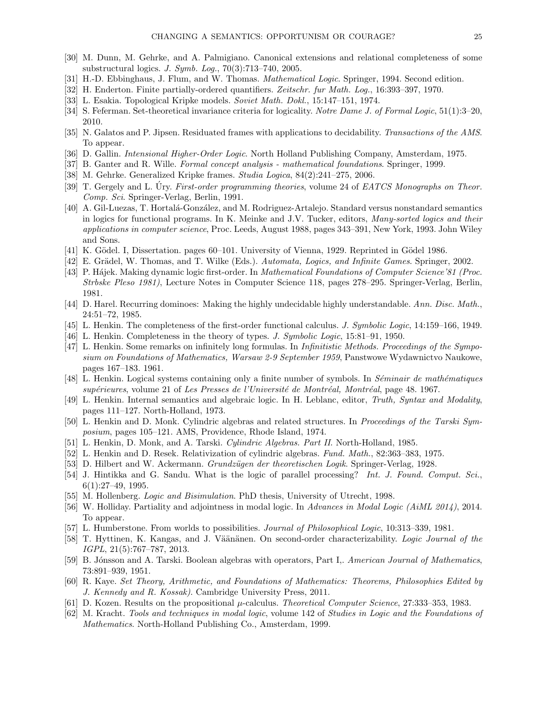- [30] M. Dunn, M. Gehrke, and A. Palmigiano. Canonical extensions and relational completeness of some substructural logics. J. Symb. Log., 70(3):713–740, 2005.
- [31] H.-D. Ebbinghaus, J. Flum, and W. Thomas. *Mathematical Logic*. Springer, 1994. Second edition.
- [32] H. Enderton. Finite partially-ordered quantifiers. Zeitschr. fur Math. Log., 16:393-397, 1970.
- [33] L. Esakia. Topological Kripke models. Soviet Math. Dokl., 15:147–151, 1974.
- [34] S. Feferman. Set-theoretical invariance criteria for logicality. Notre Dame J. of Formal Logic, 51(1):3–20, 2010.
- [35] N. Galatos and P. Jipsen. Residuated frames with applications to decidability. Transactions of the AMS. To appear.
- [36] D. Gallin. *Intensional Higher-Order Logic*. North Holland Publishing Company, Amsterdam, 1975.
- [37] B. Ganter and R. Wille. Formal concept analysis mathematical foundations. Springer, 1999.
- [38] M. Gehrke. Generalized Kripke frames. Studia Logica, 84(2):241-275, 2006.
- [39] T. Gergely and L. Ury. First-order programming theories, volume 24 of EATCS Monographs on Theor. Comp. Sci. Springer-Verlag, Berlin, 1991.
- [40] A. Gil-Luezas, T. Hortalá-González, and M. Rodriguez-Artalejo. Standard versus nonstandard semantics in logics for functional programs. In K. Meinke and J.V. Tucker, editors, Many-sorted logics and their applications in computer science, Proc. Leeds, August 1988, pages 343–391, New York, 1993. John Wiley and Sons.
- [41] K. Gödel. I, Dissertation. pages 60–101. University of Vienna, 1929. Reprinted in Gödel 1986.
- [42] E. Grädel, W. Thomas, and T. Wilke (Eds.). Automata, Logics, and Infinite Games. Springer, 2002.
- [43] P. Hájek. Making dynamic logic first-order. In *Mathematical Foundations of Computer Science'81 (Proc.*) Strbske Pleso 1981), Lecture Notes in Computer Science 118, pages 278–295. Springer-Verlag, Berlin, 1981.
- [44] D. Harel. Recurring dominoes: Making the highly undecidable highly understandable. Ann. Disc. Math., 24:51–72, 1985.
- [45] L. Henkin. The completeness of the first-order functional calculus. J. Symbolic Logic, 14:159–166, 1949.
- [46] L. Henkin. Completeness in the theory of types. J. Symbolic Logic, 15:81–91, 1950.
- [47] L. Henkin. Some remarks on infinitely long formulas. In Infinitistic Methods. Proceedings of the Symposium on Foundations of Mathematics, Warsaw 2-9 September 1959, Panstwowe Wydawnictvo Naukowe, pages 167–183. 1961.
- [48] L. Henkin. Logical systems containing only a finite number of symbols. In Séminair de mathématiques supérieures, volume 21 of Les Presses de l'Université de Montréal, Montréal, page 48. 1967.
- [49] L. Henkin. Internal semantics and algebraic logic. In H. Leblanc, editor, Truth, Syntax and Modality, pages 111–127. North-Holland, 1973.
- [50] L. Henkin and D. Monk. Cylindric algebras and related structures. In Proceedings of the Tarski Symposium, pages 105–121. AMS, Providence, Rhode Island, 1974.
- [51] L. Henkin, D. Monk, and A. Tarski. Cylindric Algebras. Part II. North-Holland, 1985.
- [52] L. Henkin and D. Resek. Relativization of cylindric algebras. Fund. Math., 82:363–383, 1975.
- [53] D. Hilbert and W. Ackermann. Grundzügen der theoretischen Logik. Springer-Verlag, 1928.
- [54] J. Hintikka and G. Sandu. What is the logic of parallel processing? Int. J. Found. Comput. Sci., 6(1):27–49, 1995.
- [55] M. Hollenberg. Logic and Bisimulation. PhD thesis, University of Utrecht, 1998.
- [56] W. Holliday. Partiality and adjointness in modal logic. In Advances in Modal Logic (AiML 2014), 2014. To appear.
- [57] L. Humberstone. From worlds to possibilities. Journal of Philosophical Logic, 10:313–339, 1981.
- [58] T. Hyttinen, K. Kangas, and J. Väänänen. On second-order characterizability. Logic Journal of the IGPL, 21(5):767–787, 2013.
- [59] B. Jónsson and A. Tarski. Boolean algebras with operators, Part I,. American Journal of Mathematics, 73:891–939, 1951.
- [60] R. Kaye. Set Theory, Arithmetic, and Foundations of Mathematics: Theorems, Philosophies Edited by J. Kennedy and R. Kossak). Cambridge University Press, 2011.
- [61] D. Kozen. Results on the propositional µ-calculus. Theoretical Computer Science, 27:333–353, 1983.
- [62] M. Kracht. Tools and techniques in modal logic, volume 142 of Studies in Logic and the Foundations of Mathematics. North-Holland Publishing Co., Amsterdam, 1999.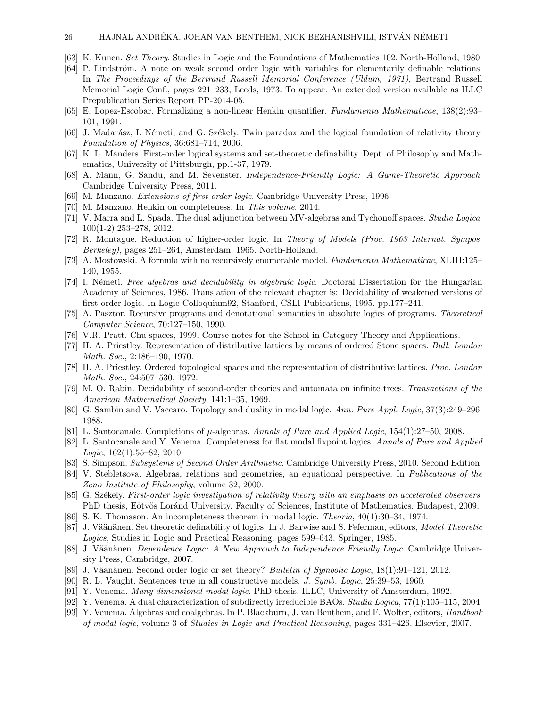- [63] K. Kunen. Set Theory. Studies in Logic and the Foundations of Mathematics 102. North-Holland, 1980.
- [64] P. Lindström. A note on weak second order logic with variables for elementarily definable relations. In The Proceedings of the Bertrand Russell Memorial Conference (Uldum, 1971), Bertrand Russell Memorial Logic Conf., pages 221–233, Leeds, 1973. To appear. An extended version available as ILLC Prepublication Series Report PP-2014-05.
- [65] E. Lopez-Escobar. Formalizing a non-linear Henkin quantifier. Fundamenta Mathematicae, 138(2):93– 101, 1991.
- [66] J. Madarász, I. Németi, and G. Székely. Twin paradox and the logical foundation of relativity theory. Foundation of Physics, 36:681–714, 2006.
- [67] K. L. Manders. First-order logical systems and set-theoretic definability. Dept. of Philosophy and Mathematics, University of Pittsburgh, pp.1-37, 1979.
- [68] A. Mann, G. Sandu, and M. Sevenster. Independence-Friendly Logic: A Game-Theoretic Approach. Cambridge University Press, 2011.
- [69] M. Manzano. Extensions of first order logic. Cambridge University Press, 1996.
- [70] M. Manzano. Henkin on completeness. In This volume. 2014.
- [71] V. Marra and L. Spada. The dual adjunction between MV-algebras and Tychonoff spaces. Studia Logica, 100(1-2):253–278, 2012.
- [72] R. Montague. Reduction of higher-order logic. In Theory of Models (Proc. 1963 Internat. Sympos. Berkeley), pages 251–264, Amsterdam, 1965. North-Holland.
- [73] A. Mostowski. A formula with no recursively enumerable model. Fundamenta Mathematicae, XLIII:125– 140, 1955.
- [74] I. Németi. *Free algebras and decidability in algebraic logic*. Doctoral Dissertation for the Hungarian Academy of Sciences, 1986. Translation of the relevant chapter is: Decidability of weakened versions of first-order logic. In Logic Colloquium92, Stanford, CSLI Pubications, 1995. pp.177–241.
- [75] A. Pasztor. Recursive programs and denotational semantics in absolute logics of programs. Theoretical Computer Science, 70:127–150, 1990.
- [76] V.R. Pratt. Chu spaces, 1999. Course notes for the School in Category Theory and Applications.
- [77] H. A. Priestley. Representation of distributive lattices by means of ordered Stone spaces. Bull. London Math. Soc., 2:186–190, 1970.
- [78] H. A. Priestley. Ordered topological spaces and the representation of distributive lattices. Proc. London Math. Soc., 24:507–530, 1972.
- [79] M. O. Rabin. Decidability of second-order theories and automata on infinite trees. Transactions of the American Mathematical Society, 141:1–35, 1969.
- [80] G. Sambin and V. Vaccaro. Topology and duality in modal logic. Ann. Pure Appl. Logic, 37(3):249–296, 1988.
- [81] L. Santocanale. Completions of µ-algebras. Annals of Pure and Applied Logic, 154(1):27–50, 2008.
- [82] L. Santocanale and Y. Venema. Completeness for flat modal fixpoint logics. Annals of Pure and Applied Logic, 162(1):55–82, 2010.
- [83] S. Simpson. Subsystems of Second Order Arithmetic. Cambridge University Press, 2010. Second Edition.
- [84] V. Stebletsova. Algebras, relations and geometries, an equational perspective. In Publications of the Zeno Institute of Philosophy, volume 32, 2000.
- [85] G. Székely. First-order logic investigation of relativity theory with an emphasis on accelerated observers. PhD thesis, Eötvös Loránd University, Faculty of Sciences, Institute of Mathematics, Budapest, 2009.
- [86] S. K. Thomason. An incompleteness theorem in modal logic. Theoria, 40(1):30–34, 1974.
- [87] J. Väänänen. Set theoretic definability of logics. In J. Barwise and S. Feferman, editors, *Model Theoretic* Logics, Studies in Logic and Practical Reasoning, pages 599–643. Springer, 1985.
- [88] J. Väänänen. Dependence Logic: A New Approach to Independence Friendly Logic. Cambridge University Press, Cambridge, 2007.
- [89] J. Väänänen. Second order logic or set theory? Bulletin of Symbolic Logic, 18(1):91–121, 2012.
- [90] R. L. Vaught. Sentences true in all constructive models. J. Symb. Logic, 25:39–53, 1960.
- [91] Y. Venema. *Many-dimensional modal logic*. PhD thesis, ILLC, University of Amsterdam, 1992.
- [92] Y. Venema. A dual characterization of subdirectly irreducible BAOs. Studia Logica, 77(1):105–115, 2004.
- [93] Y. Venema. Algebras and coalgebras. In P. Blackburn, J. van Benthem, and F. Wolter, editors, Handbook of modal logic, volume 3 of Studies in Logic and Practical Reasoning, pages 331–426. Elsevier, 2007.